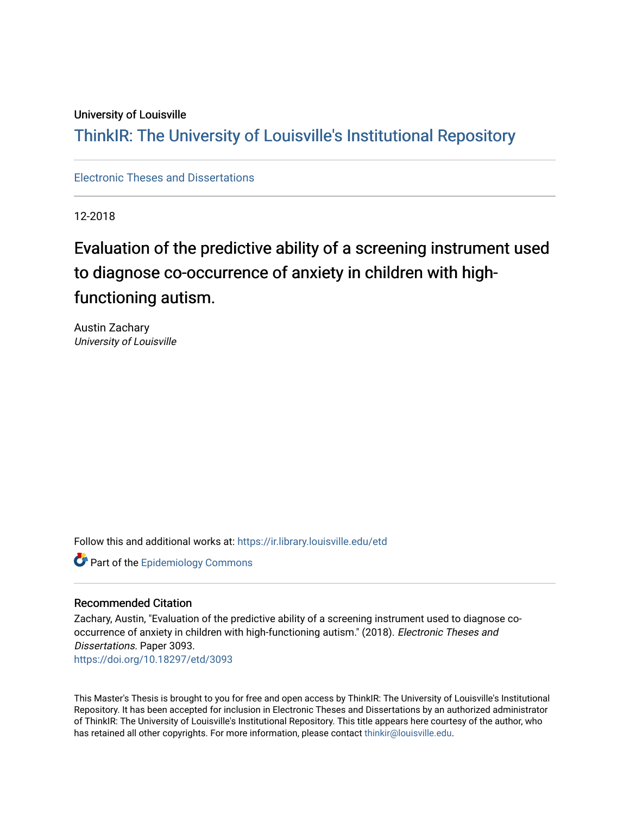### University of Louisville

# ThinkIR: The Univ[ersity of Louisville's Institutional Reposit](https://ir.library.louisville.edu/)ory

[Electronic Theses and Dissertations](https://ir.library.louisville.edu/etd)

12-2018

# Evaluation of the predictive ability of a screening instrument used to diagnose co-occurrence of anxiety in children with highfunctioning autism.

Austin Zachary University of Louisville

Follow this and additional works at: [https://ir.library.louisville.edu/etd](https://ir.library.louisville.edu/etd?utm_source=ir.library.louisville.edu%2Fetd%2F3093&utm_medium=PDF&utm_campaign=PDFCoverPages) 

**Part of the Epidemiology Commons** 

#### Recommended Citation

Zachary, Austin, "Evaluation of the predictive ability of a screening instrument used to diagnose cooccurrence of anxiety in children with high-functioning autism." (2018). Electronic Theses and Dissertations. Paper 3093. <https://doi.org/10.18297/etd/3093>

This Master's Thesis is brought to you for free and open access by ThinkIR: The University of Louisville's Institutional Repository. It has been accepted for inclusion in Electronic Theses and Dissertations by an authorized administrator of ThinkIR: The University of Louisville's Institutional Repository. This title appears here courtesy of the author, who has retained all other copyrights. For more information, please contact [thinkir@louisville.edu](mailto:thinkir@louisville.edu).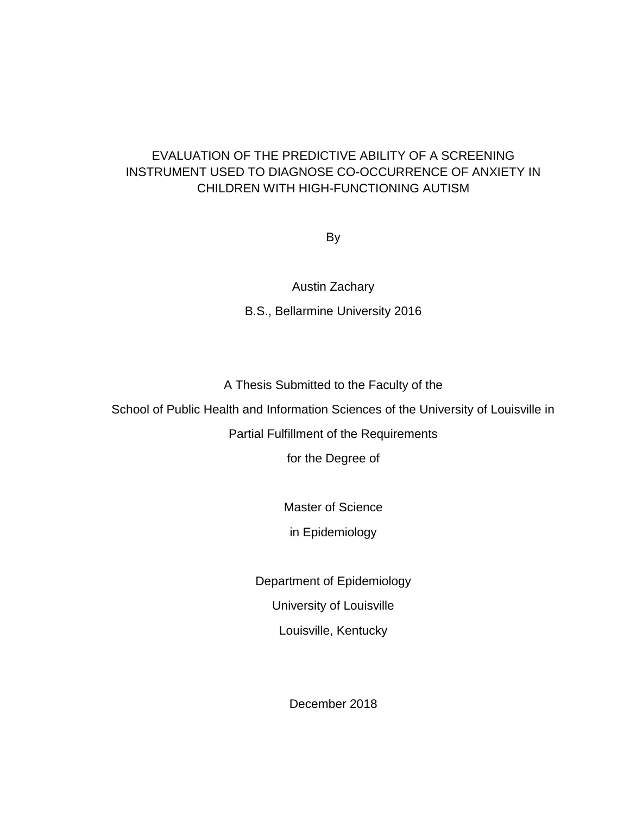## EVALUATION OF THE PREDICTIVE ABILITY OF A SCREENING INSTRUMENT USED TO DIAGNOSE CO-OCCURRENCE OF ANXIETY IN CHILDREN WITH HIGH-FUNCTIONING AUTISM

By

Austin Zachary B.S., Bellarmine University 2016

A Thesis Submitted to the Faculty of the

School of Public Health and Information Sciences of the University of Louisville in

Partial Fulfillment of the Requirements

for the Degree of

Master of Science

in Epidemiology

Department of Epidemiology University of Louisville Louisville, Kentucky

December 2018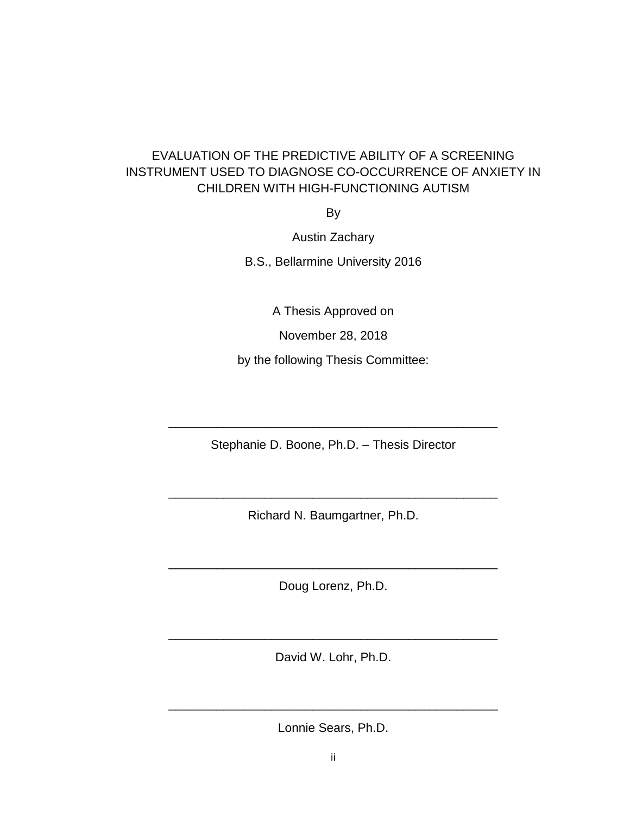## EVALUATION OF THE PREDICTIVE ABILITY OF A SCREENING INSTRUMENT USED TO DIAGNOSE CO-OCCURRENCE OF ANXIETY IN CHILDREN WITH HIGH-FUNCTIONING AUTISM

By

Austin Zachary

B.S., Bellarmine University 2016

A Thesis Approved on

November 28, 2018

by the following Thesis Committee:

Stephanie D. Boone, Ph.D. – Thesis Director

\_\_\_\_\_\_\_\_\_\_\_\_\_\_\_\_\_\_\_\_\_\_\_\_\_\_\_\_\_\_\_\_\_\_\_\_\_\_\_\_\_\_\_\_\_\_\_\_

Richard N. Baumgartner, Ph.D.

\_\_\_\_\_\_\_\_\_\_\_\_\_\_\_\_\_\_\_\_\_\_\_\_\_\_\_\_\_\_\_\_\_\_\_\_\_\_\_\_\_\_\_\_\_\_\_\_

Doug Lorenz, Ph.D.

\_\_\_\_\_\_\_\_\_\_\_\_\_\_\_\_\_\_\_\_\_\_\_\_\_\_\_\_\_\_\_\_\_\_\_\_\_\_\_\_\_\_\_\_\_\_\_\_

David W. Lohr, Ph.D.

\_\_\_\_\_\_\_\_\_\_\_\_\_\_\_\_\_\_\_\_\_\_\_\_\_\_\_\_\_\_\_\_\_\_\_\_\_\_\_\_\_\_\_\_\_\_\_\_

Lonnie Sears, Ph.D.

\_\_\_\_\_\_\_\_\_\_\_\_\_\_\_\_\_\_\_\_\_\_\_\_\_\_\_\_\_\_\_\_\_\_\_\_\_\_\_\_\_\_\_\_\_\_\_\_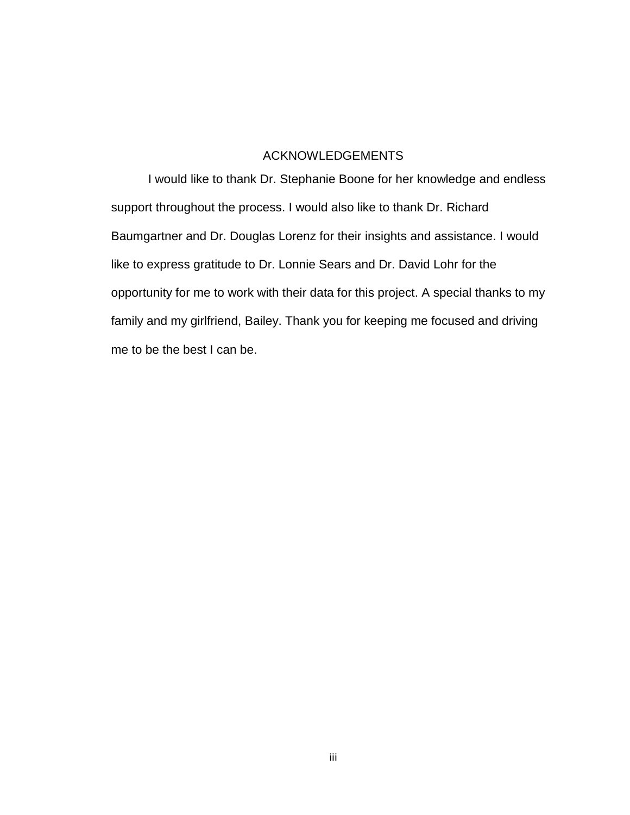## ACKNOWLEDGEMENTS

I would like to thank Dr. Stephanie Boone for her knowledge and endless support throughout the process. I would also like to thank Dr. Richard Baumgartner and Dr. Douglas Lorenz for their insights and assistance. I would like to express gratitude to Dr. Lonnie Sears and Dr. David Lohr for the opportunity for me to work with their data for this project. A special thanks to my family and my girlfriend, Bailey. Thank you for keeping me focused and driving me to be the best I can be.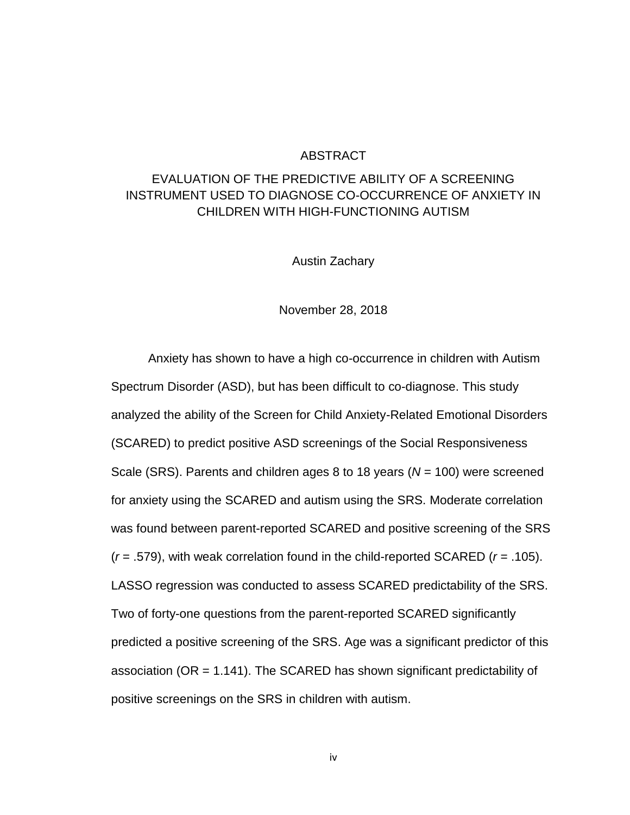#### ABSTRACT

## EVALUATION OF THE PREDICTIVE ABILITY OF A SCREENING INSTRUMENT USED TO DIAGNOSE CO-OCCURRENCE OF ANXIETY IN CHILDREN WITH HIGH-FUNCTIONING AUTISM

Austin Zachary

November 28, 2018

Anxiety has shown to have a high co-occurrence in children with Autism Spectrum Disorder (ASD), but has been difficult to co-diagnose. This study analyzed the ability of the Screen for Child Anxiety-Related Emotional Disorders (SCARED) to predict positive ASD screenings of the Social Responsiveness Scale (SRS). Parents and children ages 8 to 18 years (*N* = 100) were screened for anxiety using the SCARED and autism using the SRS. Moderate correlation was found between parent-reported SCARED and positive screening of the SRS (*r* = .579), with weak correlation found in the child-reported SCARED (*r* = .105). LASSO regression was conducted to assess SCARED predictability of the SRS. Two of forty-one questions from the parent-reported SCARED significantly predicted a positive screening of the SRS. Age was a significant predictor of this association (OR = 1.141). The SCARED has shown significant predictability of positive screenings on the SRS in children with autism.

iv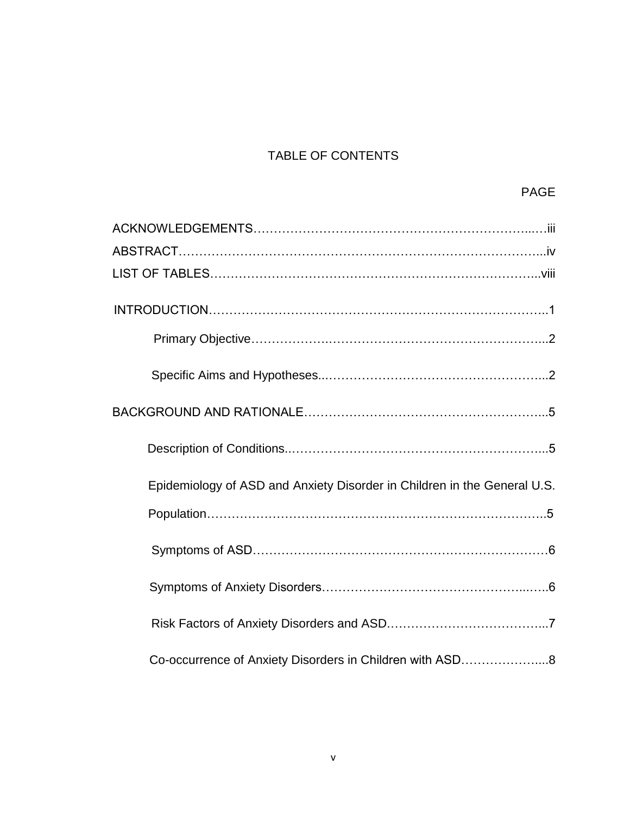# TABLE OF CONTENTS

| Epidemiology of ASD and Anxiety Disorder in Children in the General U.S. |
|--------------------------------------------------------------------------|
|                                                                          |
|                                                                          |
|                                                                          |
|                                                                          |
| Co-occurrence of Anxiety Disorders in Children with ASD8                 |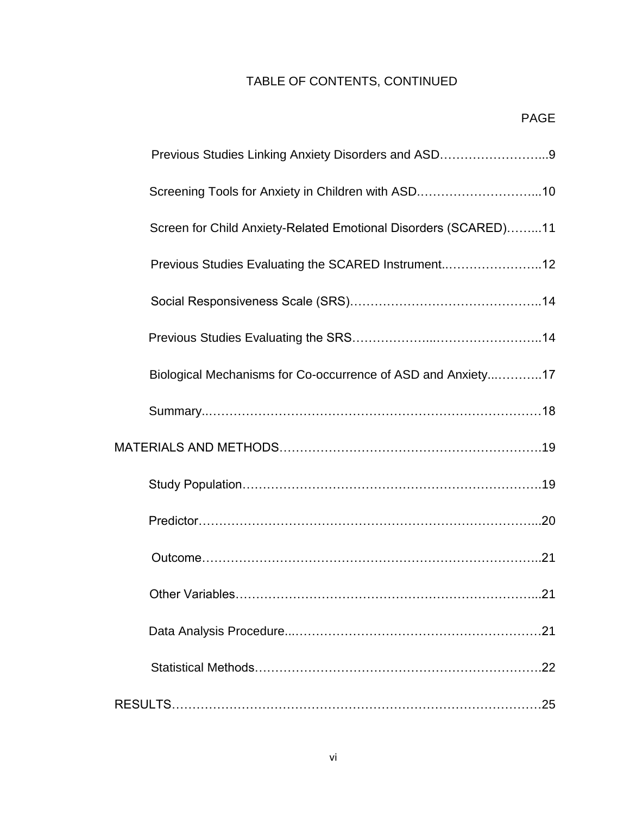# TABLE OF CONTENTS, CONTINUED

| Previous Studies Linking Anxiety Disorders and ASD9             |     |
|-----------------------------------------------------------------|-----|
| Screening Tools for Anxiety in Children with ASD10              |     |
| Screen for Child Anxiety-Related Emotional Disorders (SCARED)11 |     |
| Previous Studies Evaluating the SCARED Instrument12             |     |
|                                                                 |     |
|                                                                 |     |
| Biological Mechanisms for Co-occurrence of ASD and Anxiety17    |     |
|                                                                 |     |
|                                                                 |     |
|                                                                 |     |
|                                                                 |     |
|                                                                 |     |
|                                                                 |     |
|                                                                 | .21 |
|                                                                 |     |
|                                                                 |     |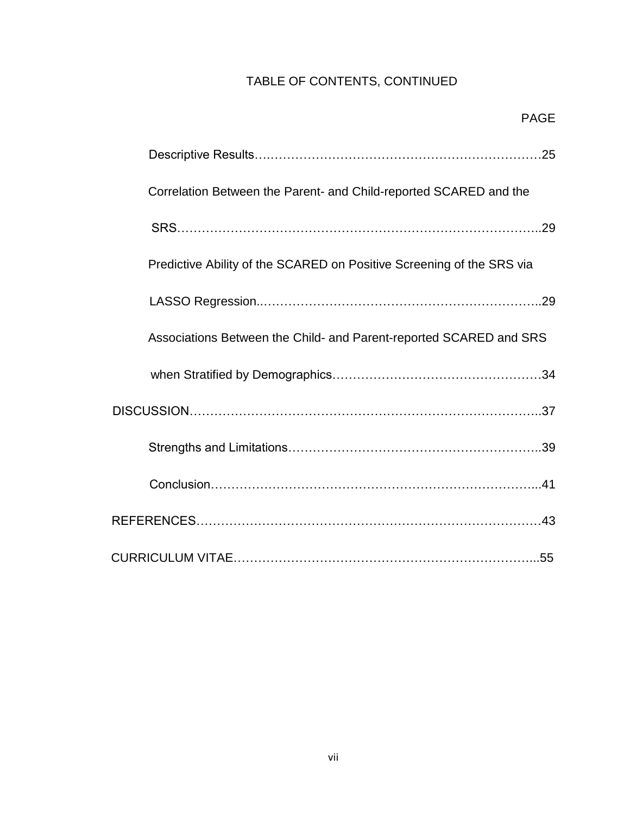# TABLE OF CONTENTS, CONTINUED

PAGE

| Correlation Between the Parent- and Child-reported SCARED and the     |
|-----------------------------------------------------------------------|
|                                                                       |
| Predictive Ability of the SCARED on Positive Screening of the SRS via |
|                                                                       |
|                                                                       |
| Associations Between the Child- and Parent-reported SCARED and SRS    |
|                                                                       |
|                                                                       |
|                                                                       |
|                                                                       |
|                                                                       |
|                                                                       |
|                                                                       |
|                                                                       |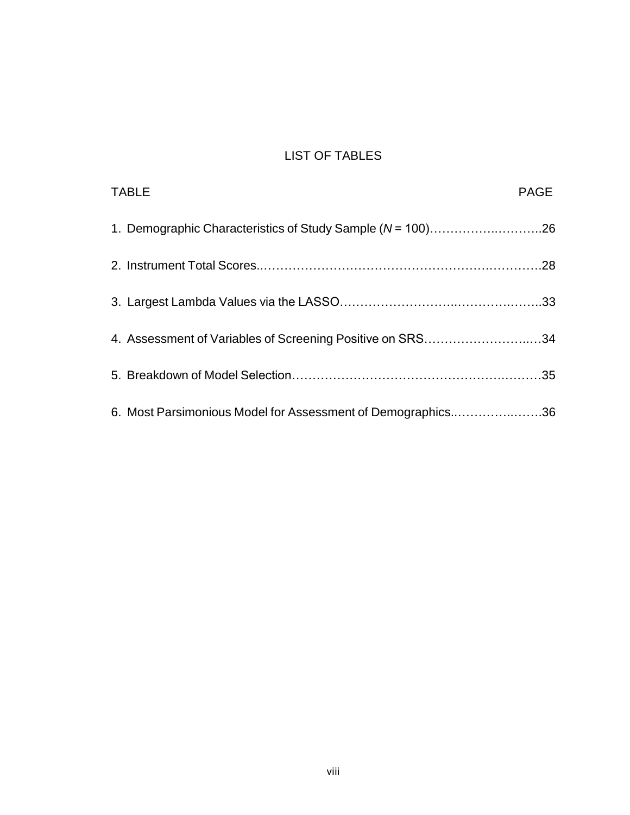# LIST OF TABLES

| <b>TABLE</b>                                                | <b>PAGE</b> |
|-------------------------------------------------------------|-------------|
| 1. Demographic Characteristics of Study Sample (N = 100)26  |             |
|                                                             |             |
|                                                             |             |
| 4. Assessment of Variables of Screening Positive on SRS34   |             |
|                                                             |             |
| 6. Most Parsimonious Model for Assessment of Demographics36 |             |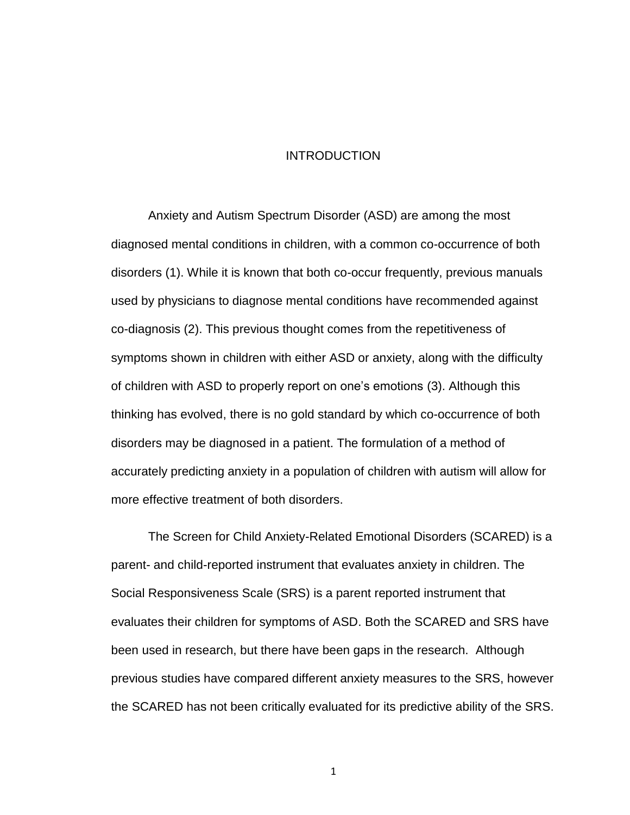#### INTRODUCTION

Anxiety and Autism Spectrum Disorder (ASD) are among the most diagnosed mental conditions in children, with a common co-occurrence of both disorders (1). While it is known that both co-occur frequently, previous manuals used by physicians to diagnose mental conditions have recommended against co-diagnosis (2). This previous thought comes from the repetitiveness of symptoms shown in children with either ASD or anxiety, along with the difficulty of children with ASD to properly report on one's emotions (3). Although this thinking has evolved, there is no gold standard by which co-occurrence of both disorders may be diagnosed in a patient. The formulation of a method of accurately predicting anxiety in a population of children with autism will allow for more effective treatment of both disorders.

The Screen for Child Anxiety-Related Emotional Disorders (SCARED) is a parent- and child-reported instrument that evaluates anxiety in children. The Social Responsiveness Scale (SRS) is a parent reported instrument that evaluates their children for symptoms of ASD. Both the SCARED and SRS have been used in research, but there have been gaps in the research. Although previous studies have compared different anxiety measures to the SRS, however the SCARED has not been critically evaluated for its predictive ability of the SRS.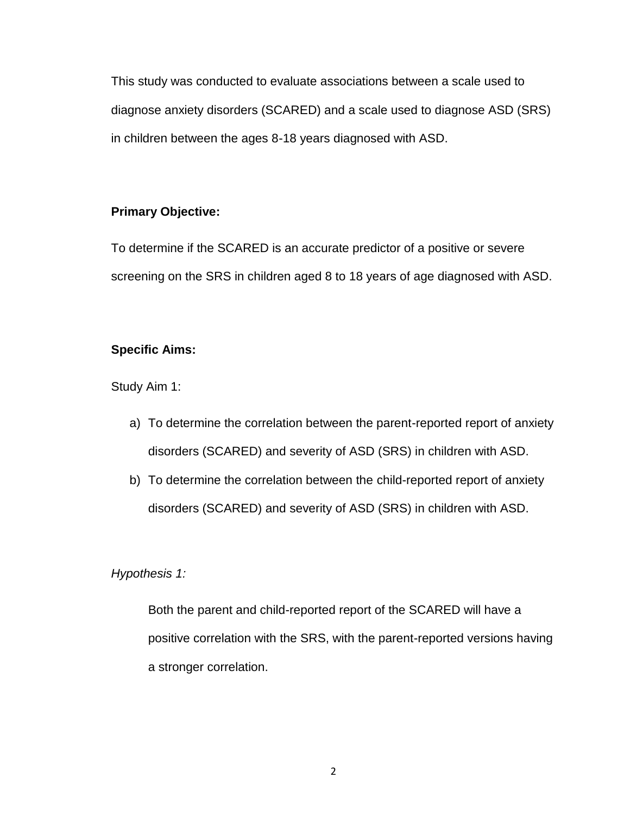This study was conducted to evaluate associations between a scale used to diagnose anxiety disorders (SCARED) and a scale used to diagnose ASD (SRS) in children between the ages 8-18 years diagnosed with ASD.

## **Primary Objective:**

To determine if the SCARED is an accurate predictor of a positive or severe screening on the SRS in children aged 8 to 18 years of age diagnosed with ASD.

## **Specific Aims:**

Study Aim 1:

- a) To determine the correlation between the parent-reported report of anxiety disorders (SCARED) and severity of ASD (SRS) in children with ASD.
- b) To determine the correlation between the child-reported report of anxiety disorders (SCARED) and severity of ASD (SRS) in children with ASD.

## *Hypothesis 1:*

Both the parent and child-reported report of the SCARED will have a positive correlation with the SRS, with the parent-reported versions having a stronger correlation.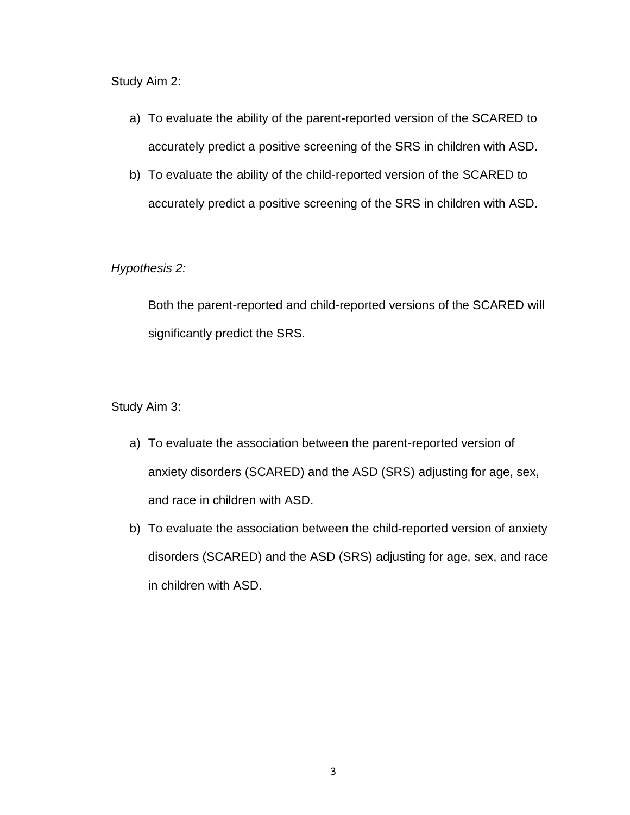Study Aim 2:

- a) To evaluate the ability of the parent-reported version of the SCARED to accurately predict a positive screening of the SRS in children with ASD.
- b) To evaluate the ability of the child-reported version of the SCARED to accurately predict a positive screening of the SRS in children with ASD.

*Hypothesis 2:*

Both the parent-reported and child-reported versions of the SCARED will significantly predict the SRS.

Study Aim 3:

- a) To evaluate the association between the parent-reported version of anxiety disorders (SCARED) and the ASD (SRS) adjusting for age, sex, and race in children with ASD.
- b) To evaluate the association between the child-reported version of anxiety disorders (SCARED) and the ASD (SRS) adjusting for age, sex, and race in children with ASD.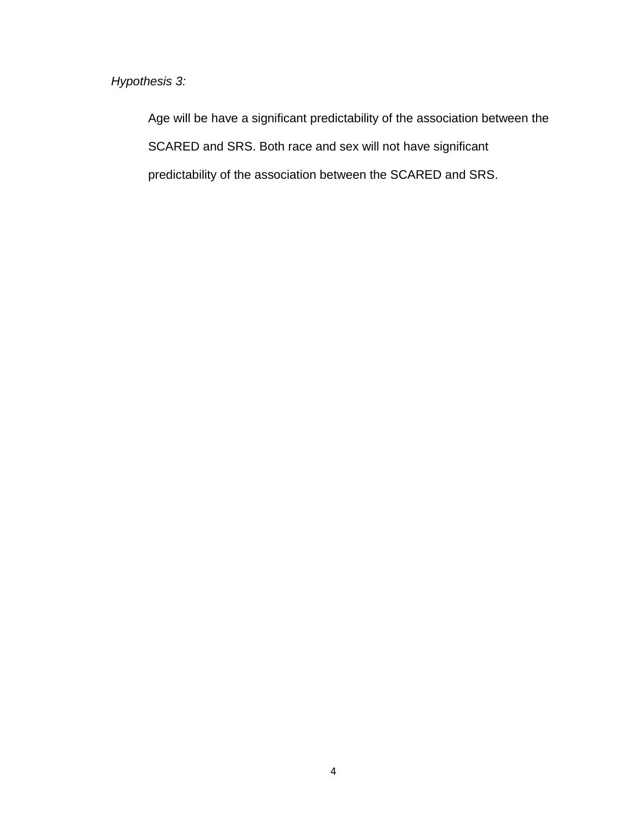*Hypothesis 3:*

Age will be have a significant predictability of the association between the SCARED and SRS. Both race and sex will not have significant predictability of the association between the SCARED and SRS.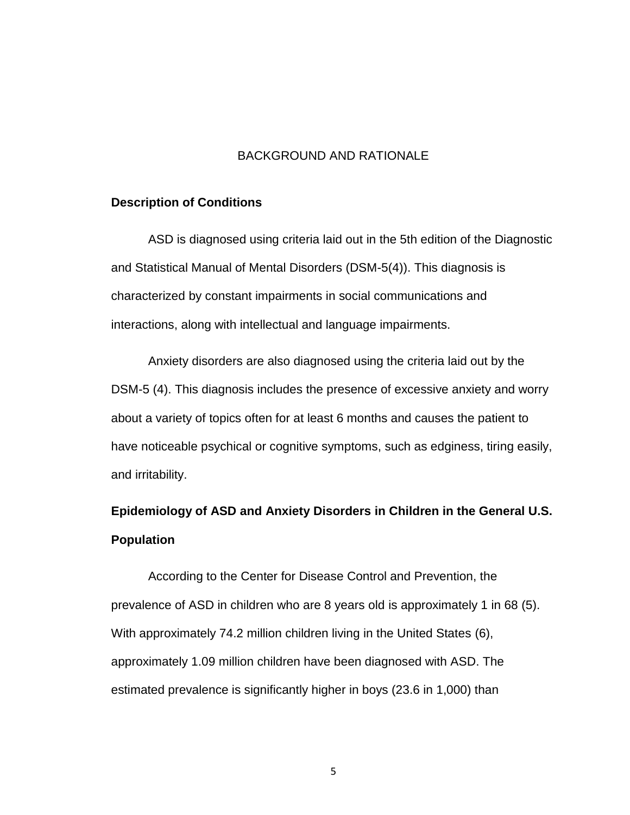## BACKGROUND AND RATIONALE

#### **Description of Conditions**

ASD is diagnosed using criteria laid out in the 5th edition of the Diagnostic and Statistical Manual of Mental Disorders (DSM-5(4)). This diagnosis is characterized by constant impairments in social communications and interactions, along with intellectual and language impairments.

Anxiety disorders are also diagnosed using the criteria laid out by the DSM-5 (4). This diagnosis includes the presence of excessive anxiety and worry about a variety of topics often for at least 6 months and causes the patient to have noticeable psychical or cognitive symptoms, such as edginess, tiring easily, and irritability.

# **Epidemiology of ASD and Anxiety Disorders in Children in the General U.S. Population**

According to the Center for Disease Control and Prevention, the prevalence of ASD in children who are 8 years old is approximately 1 in 68 (5). With approximately 74.2 million children living in the United States (6), approximately 1.09 million children have been diagnosed with ASD. The estimated prevalence is significantly higher in boys (23.6 in 1,000) than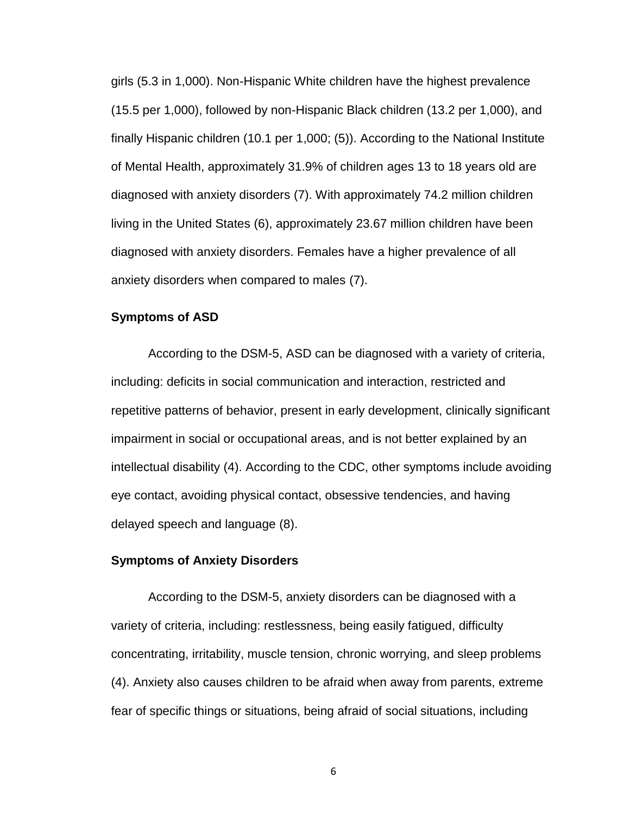girls (5.3 in 1,000). Non-Hispanic White children have the highest prevalence (15.5 per 1,000), followed by non-Hispanic Black children (13.2 per 1,000), and finally Hispanic children (10.1 per 1,000; (5)). According to the National Institute of Mental Health, approximately 31.9% of children ages 13 to 18 years old are diagnosed with anxiety disorders (7). With approximately 74.2 million children living in the United States (6), approximately 23.67 million children have been diagnosed with anxiety disorders. Females have a higher prevalence of all anxiety disorders when compared to males (7).

## **Symptoms of ASD**

According to the DSM-5, ASD can be diagnosed with a variety of criteria, including: deficits in social communication and interaction, restricted and repetitive patterns of behavior, present in early development, clinically significant impairment in social or occupational areas, and is not better explained by an intellectual disability (4). According to the CDC, other symptoms include avoiding eye contact, avoiding physical contact, obsessive tendencies, and having delayed speech and language (8).

### **Symptoms of Anxiety Disorders**

According to the DSM-5, anxiety disorders can be diagnosed with a variety of criteria, including: restlessness, being easily fatigued, difficulty concentrating, irritability, muscle tension, chronic worrying, and sleep problems (4). Anxiety also causes children to be afraid when away from parents, extreme fear of specific things or situations, being afraid of social situations, including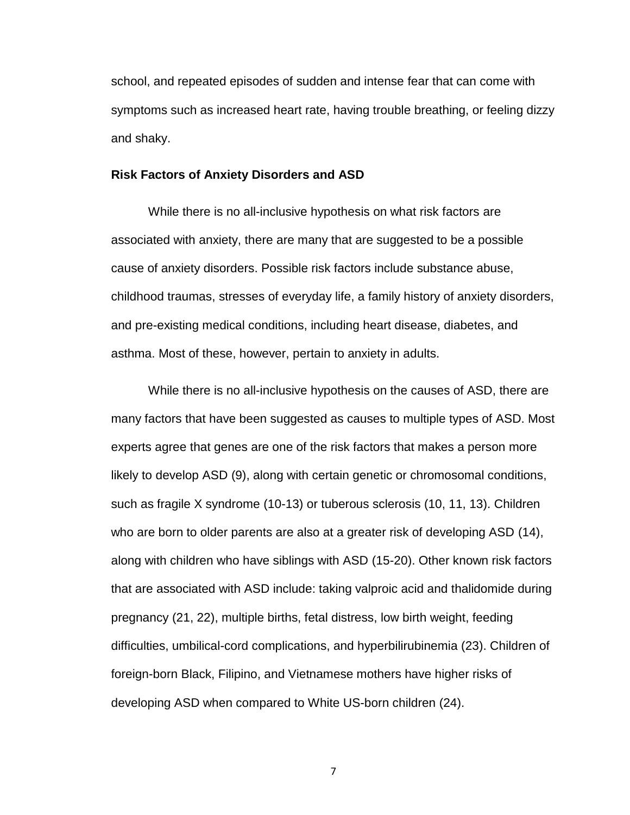school, and repeated episodes of sudden and intense fear that can come with symptoms such as increased heart rate, having trouble breathing, or feeling dizzy and shaky.

#### **Risk Factors of Anxiety Disorders and ASD**

While there is no all-inclusive hypothesis on what risk factors are associated with anxiety, there are many that are suggested to be a possible cause of anxiety disorders. Possible risk factors include substance abuse, childhood traumas, stresses of everyday life, a family history of anxiety disorders, and pre-existing medical conditions, including heart disease, diabetes, and asthma. Most of these, however, pertain to anxiety in adults.

While there is no all-inclusive hypothesis on the causes of ASD, there are many factors that have been suggested as causes to multiple types of ASD. Most experts agree that genes are one of the risk factors that makes a person more likely to develop ASD (9), along with certain genetic or chromosomal conditions, such as fragile X syndrome (10-13) or tuberous sclerosis (10, 11, 13). Children who are born to older parents are also at a greater risk of developing ASD (14), along with children who have siblings with ASD (15-20). Other known risk factors that are associated with ASD include: taking valproic acid and thalidomide during pregnancy (21, 22), multiple births, fetal distress, low birth weight, feeding difficulties, umbilical-cord complications, and hyperbilirubinemia (23). Children of foreign-born Black, Filipino, and Vietnamese mothers have higher risks of developing ASD when compared to White US-born children (24).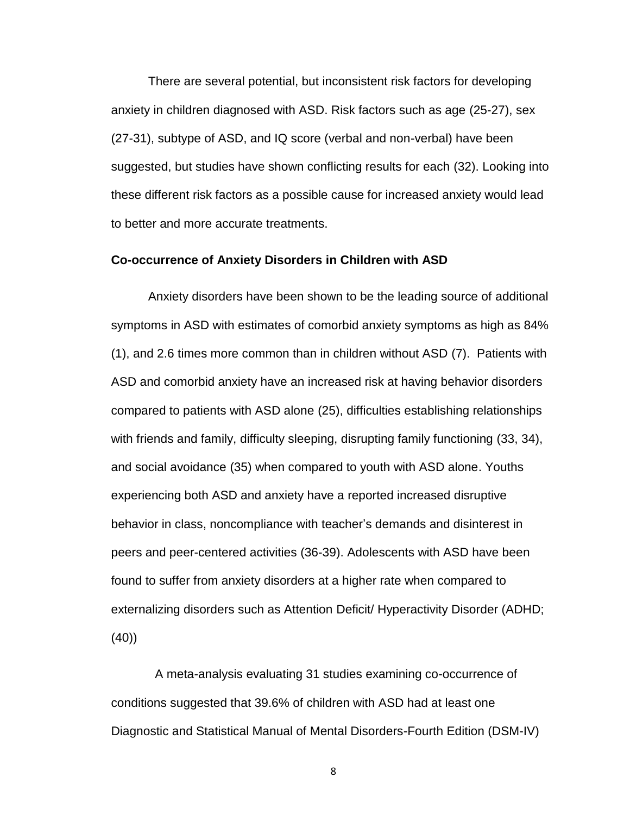There are several potential, but inconsistent risk factors for developing anxiety in children diagnosed with ASD. Risk factors such as age (25-27), sex (27-31), subtype of ASD, and IQ score (verbal and non-verbal) have been suggested, but studies have shown conflicting results for each (32). Looking into these different risk factors as a possible cause for increased anxiety would lead to better and more accurate treatments.

#### **Co-occurrence of Anxiety Disorders in Children with ASD**

Anxiety disorders have been shown to be the leading source of additional symptoms in ASD with estimates of comorbid anxiety symptoms as high as 84% (1), and 2.6 times more common than in children without ASD (7). Patients with ASD and comorbid anxiety have an increased risk at having behavior disorders compared to patients with ASD alone (25), difficulties establishing relationships with friends and family, difficulty sleeping, disrupting family functioning (33, 34), and social avoidance (35) when compared to youth with ASD alone. Youths experiencing both ASD and anxiety have a reported increased disruptive behavior in class, noncompliance with teacher's demands and disinterest in peers and peer-centered activities (36-39). Adolescents with ASD have been found to suffer from anxiety disorders at a higher rate when compared to externalizing disorders such as Attention Deficit/ Hyperactivity Disorder (ADHD; (40))

A meta-analysis evaluating 31 studies examining co-occurrence of conditions suggested that 39.6% of children with ASD had at least one Diagnostic and Statistical Manual of Mental Disorders-Fourth Edition (DSM-IV)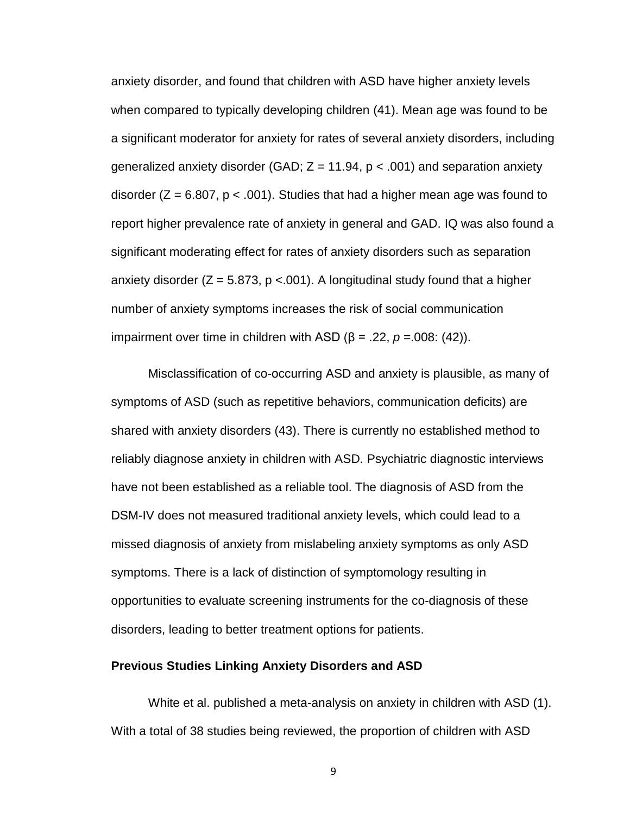anxiety disorder, and found that children with ASD have higher anxiety levels when compared to typically developing children (41). Mean age was found to be a significant moderator for anxiety for rates of several anxiety disorders, including generalized anxiety disorder (GAD;  $Z = 11.94$ ,  $p < .001$ ) and separation anxiety disorder ( $Z = 6.807$ ,  $p < .001$ ). Studies that had a higher mean age was found to report higher prevalence rate of anxiety in general and GAD. IQ was also found a significant moderating effect for rates of anxiety disorders such as separation anxiety disorder ( $Z = 5.873$ ,  $p < 0.001$ ). A longitudinal study found that a higher number of anxiety symptoms increases the risk of social communication impairment over time in children with ASD (β = .22, *p =*.008: (42)).

Misclassification of co-occurring ASD and anxiety is plausible, as many of symptoms of ASD (such as repetitive behaviors, communication deficits) are shared with anxiety disorders (43). There is currently no established method to reliably diagnose anxiety in children with ASD. Psychiatric diagnostic interviews have not been established as a reliable tool. The diagnosis of ASD from the DSM-IV does not measured traditional anxiety levels, which could lead to a missed diagnosis of anxiety from mislabeling anxiety symptoms as only ASD symptoms. There is a lack of distinction of symptomology resulting in opportunities to evaluate screening instruments for the co-diagnosis of these disorders, leading to better treatment options for patients.

#### **Previous Studies Linking Anxiety Disorders and ASD**

White et al. published a meta-analysis on anxiety in children with ASD (1). With a total of 38 studies being reviewed, the proportion of children with ASD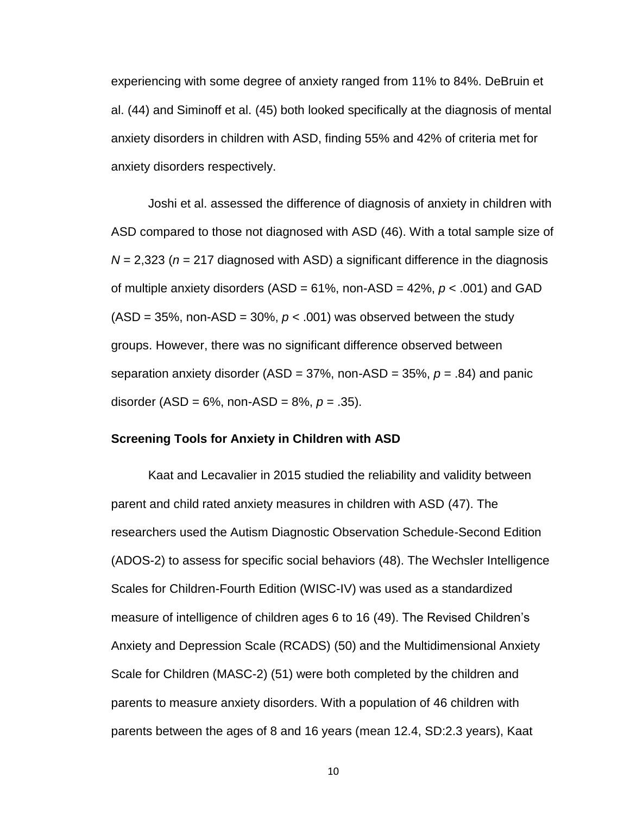experiencing with some degree of anxiety ranged from 11% to 84%. DeBruin et al. (44) and Siminoff et al. (45) both looked specifically at the diagnosis of mental anxiety disorders in children with ASD, finding 55% and 42% of criteria met for anxiety disorders respectively.

Joshi et al. assessed the difference of diagnosis of anxiety in children with ASD compared to those not diagnosed with ASD (46). With a total sample size of *N* = 2,323 (*n* = 217 diagnosed with ASD) a significant difference in the diagnosis of multiple anxiety disorders (ASD = 61%, non-ASD = 42%, *p* < .001) and GAD  $(ASD = 35\%$ , non-ASD = 30%,  $p < .001$ ) was observed between the study groups. However, there was no significant difference observed between separation anxiety disorder (ASD = 37%, non-ASD = 35%, *p* = .84) and panic disorder (ASD = 6%, non-ASD = 8%, *p* = .35).

#### **Screening Tools for Anxiety in Children with ASD**

Kaat and Lecavalier in 2015 studied the reliability and validity between parent and child rated anxiety measures in children with ASD (47). The researchers used the Autism Diagnostic Observation Schedule-Second Edition (ADOS-2) to assess for specific social behaviors (48). The Wechsler Intelligence Scales for Children-Fourth Edition (WISC-IV) was used as a standardized measure of intelligence of children ages 6 to 16 (49). The Revised Children's Anxiety and Depression Scale (RCADS) (50) and the Multidimensional Anxiety Scale for Children (MASC-2) (51) were both completed by the children and parents to measure anxiety disorders. With a population of 46 children with parents between the ages of 8 and 16 years (mean 12.4, SD:2.3 years), Kaat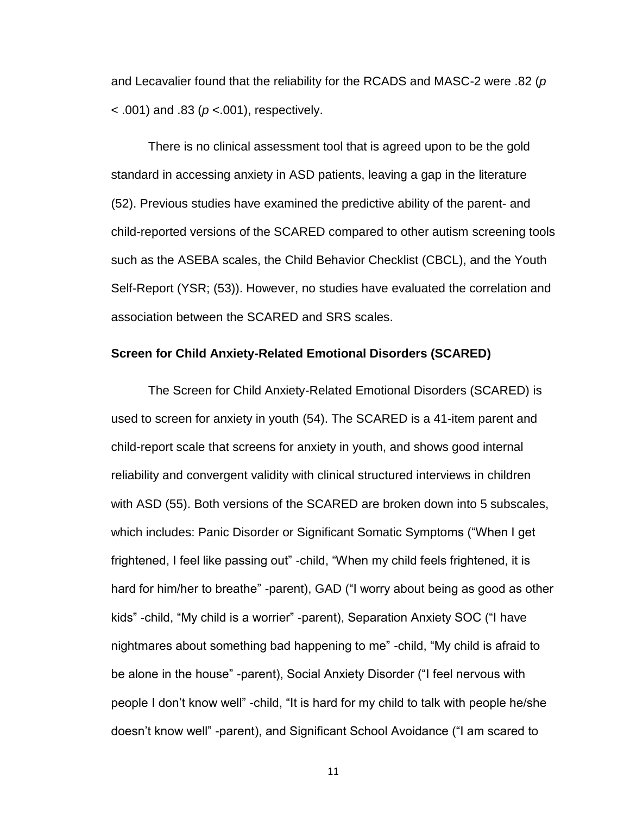and Lecavalier found that the reliability for the RCADS and MASC-2 were .82 (*p*  < .001) and .83 (*p* <.001), respectively.

There is no clinical assessment tool that is agreed upon to be the gold standard in accessing anxiety in ASD patients, leaving a gap in the literature (52). Previous studies have examined the predictive ability of the parent- and child-reported versions of the SCARED compared to other autism screening tools such as the ASEBA scales, the Child Behavior Checklist (CBCL), and the Youth Self-Report (YSR; (53)). However, no studies have evaluated the correlation and association between the SCARED and SRS scales.

#### **Screen for Child Anxiety-Related Emotional Disorders (SCARED)**

The Screen for Child Anxiety-Related Emotional Disorders (SCARED) is used to screen for anxiety in youth (54). The SCARED is a 41-item parent and child-report scale that screens for anxiety in youth, and shows good internal reliability and convergent validity with clinical structured interviews in children with ASD (55). Both versions of the SCARED are broken down into 5 subscales, which includes: Panic Disorder or Significant Somatic Symptoms ("When I get frightened, I feel like passing out" -child, "When my child feels frightened, it is hard for him/her to breathe" -parent), GAD ("I worry about being as good as other kids" -child, "My child is a worrier" -parent), Separation Anxiety SOC ("I have nightmares about something bad happening to me" -child, "My child is afraid to be alone in the house" -parent), Social Anxiety Disorder ("I feel nervous with people I don't know well" -child, "It is hard for my child to talk with people he/she doesn't know well" -parent), and Significant School Avoidance ("I am scared to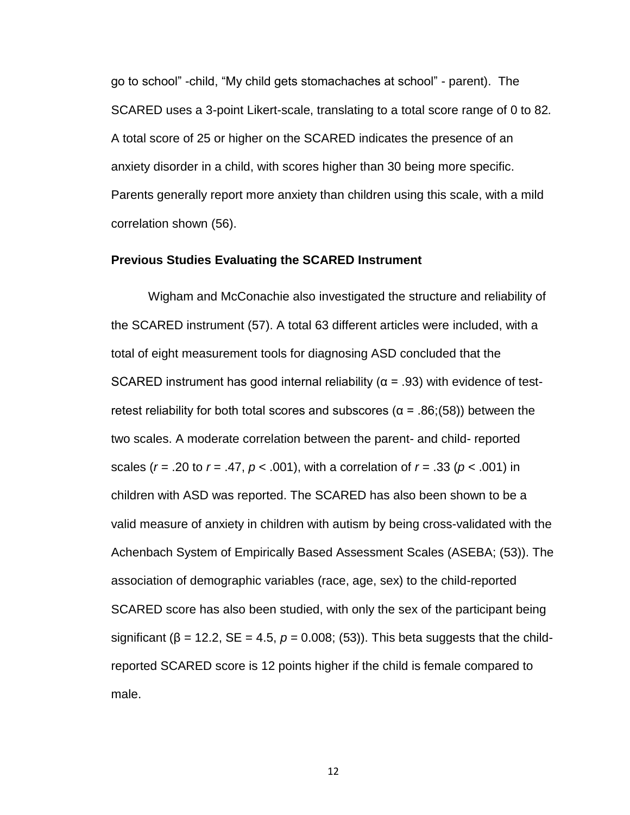go to school" -child, "My child gets stomachaches at school" - parent). The SCARED uses a 3-point Likert-scale, translating to a total score range of 0 to 82*.*  A total score of 25 or higher on the SCARED indicates the presence of an anxiety disorder in a child, with scores higher than 30 being more specific. Parents generally report more anxiety than children using this scale, with a mild correlation shown (56).

#### **Previous Studies Evaluating the SCARED Instrument**

Wigham and McConachie also investigated the structure and reliability of the SCARED instrument (57). A total 63 different articles were included, with a total of eight measurement tools for diagnosing ASD concluded that the SCARED instrument has good internal reliability ( $\alpha$  = .93) with evidence of testretest reliability for both total scores and subscores ( $\alpha$  = .86;(58)) between the two scales. A moderate correlation between the parent- and child- reported scales (*r* = .20 to *r* = .47, *p* < .001), with a correlation of *r* = .33 (*p* < .001) in children with ASD was reported. The SCARED has also been shown to be a valid measure of anxiety in children with autism by being cross-validated with the Achenbach System of Empirically Based Assessment Scales (ASEBA; (53)). The association of demographic variables (race, age, sex) to the child-reported SCARED score has also been studied, with only the sex of the participant being significant ( $\beta$  = 12.2, SE = 4.5,  $p$  = 0.008; (53)). This beta suggests that the childreported SCARED score is 12 points higher if the child is female compared to male.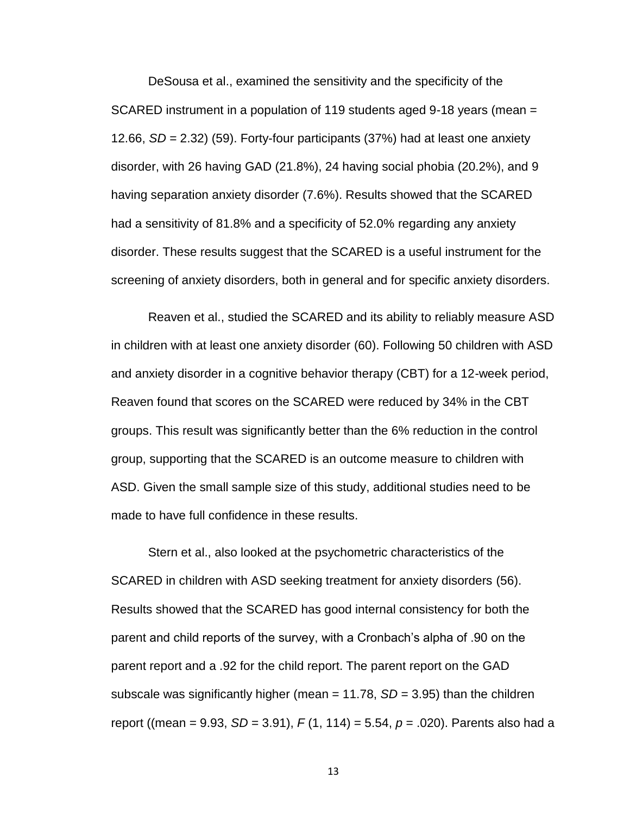DeSousa et al., examined the sensitivity and the specificity of the SCARED instrument in a population of 119 students aged 9-18 years (mean = 12.66, *SD* = 2.32) (59). Forty-four participants (37%) had at least one anxiety disorder, with 26 having GAD (21.8%), 24 having social phobia (20.2%), and 9 having separation anxiety disorder (7.6%). Results showed that the SCARED had a sensitivity of 81.8% and a specificity of 52.0% regarding any anxiety disorder. These results suggest that the SCARED is a useful instrument for the screening of anxiety disorders, both in general and for specific anxiety disorders.

Reaven et al., studied the SCARED and its ability to reliably measure ASD in children with at least one anxiety disorder (60). Following 50 children with ASD and anxiety disorder in a cognitive behavior therapy (CBT) for a 12-week period, Reaven found that scores on the SCARED were reduced by 34% in the CBT groups. This result was significantly better than the 6% reduction in the control group, supporting that the SCARED is an outcome measure to children with ASD. Given the small sample size of this study, additional studies need to be made to have full confidence in these results.

Stern et al., also looked at the psychometric characteristics of the SCARED in children with ASD seeking treatment for anxiety disorders (56). Results showed that the SCARED has good internal consistency for both the parent and child reports of the survey, with a Cronbach's alpha of .90 on the parent report and a .92 for the child report. The parent report on the GAD subscale was significantly higher (mean = 11.78, *SD* = 3.95) than the children report ((mean = 9.93, *SD* = 3.91), *F* (1, 114) = 5.54, *p* = .020). Parents also had a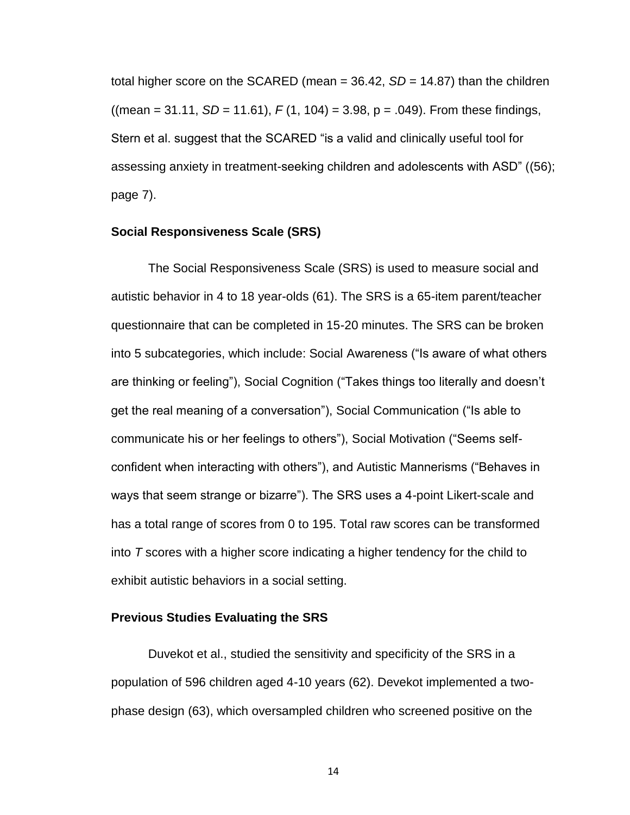total higher score on the SCARED (mean = 36.42, *SD* = 14.87) than the children  $((mean = 31.11, SD = 11.61), F(1, 104) = 3.98, p = .049)$ . From these findings, Stern et al. suggest that the SCARED "is a valid and clinically useful tool for assessing anxiety in treatment-seeking children and adolescents with ASD" ((56); page 7).

### **Social Responsiveness Scale (SRS)**

The Social Responsiveness Scale (SRS) is used to measure social and autistic behavior in 4 to 18 year-olds (61). The SRS is a 65-item parent/teacher questionnaire that can be completed in 15-20 minutes. The SRS can be broken into 5 subcategories, which include: Social Awareness ("Is aware of what others are thinking or feeling"), Social Cognition ("Takes things too literally and doesn't get the real meaning of a conversation"), Social Communication ("Is able to communicate his or her feelings to others"), Social Motivation ("Seems selfconfident when interacting with others"), and Autistic Mannerisms ("Behaves in ways that seem strange or bizarre"). The SRS uses a 4-point Likert-scale and has a total range of scores from 0 to 195. Total raw scores can be transformed into *T* scores with a higher score indicating a higher tendency for the child to exhibit autistic behaviors in a social setting.

#### **Previous Studies Evaluating the SRS**

Duvekot et al., studied the sensitivity and specificity of the SRS in a population of 596 children aged 4-10 years (62). Devekot implemented a twophase design (63), which oversampled children who screened positive on the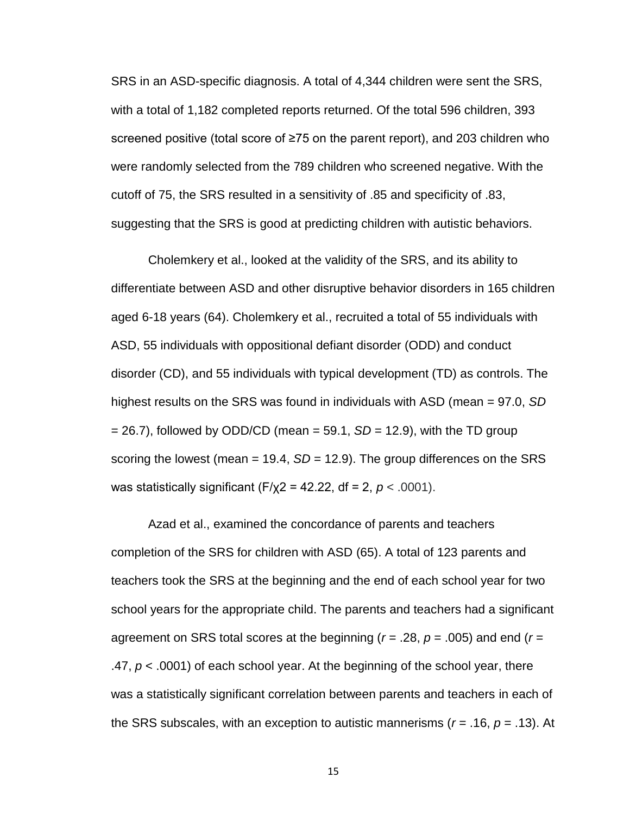SRS in an ASD-specific diagnosis. A total of 4,344 children were sent the SRS, with a total of 1,182 completed reports returned. Of the total 596 children, 393 screened positive (total score of ≥75 on the parent report), and 203 children who were randomly selected from the 789 children who screened negative. With the cutoff of 75, the SRS resulted in a sensitivity of .85 and specificity of .83, suggesting that the SRS is good at predicting children with autistic behaviors.

Cholemkery et al., looked at the validity of the SRS, and its ability to differentiate between ASD and other disruptive behavior disorders in 165 children aged 6-18 years (64). Cholemkery et al., recruited a total of 55 individuals with ASD, 55 individuals with oppositional defiant disorder (ODD) and conduct disorder (CD), and 55 individuals with typical development (TD) as controls. The highest results on the SRS was found in individuals with ASD (mean = 97.0, *SD*  $= 26.7$ ), followed by ODD/CD (mean  $= 59.1$ , *SD*  $= 12.9$ ), with the TD group scoring the lowest (mean  $= 19.4$ ,  $SD = 12.9$ ). The group differences on the SRS was statistically significant (F/χ2 = 42.22, df = 2, *p* < .0001).

Azad et al., examined the concordance of parents and teachers completion of the SRS for children with ASD (65). A total of 123 parents and teachers took the SRS at the beginning and the end of each school year for two school years for the appropriate child. The parents and teachers had a significant agreement on SRS total scores at the beginning (*r* = .28, *p* = .005) and end (*r* = .47, *p* < .0001) of each school year. At the beginning of the school year, there was a statistically significant correlation between parents and teachers in each of the SRS subscales, with an exception to autistic mannerisms (*r* = .16, *p* = .13). At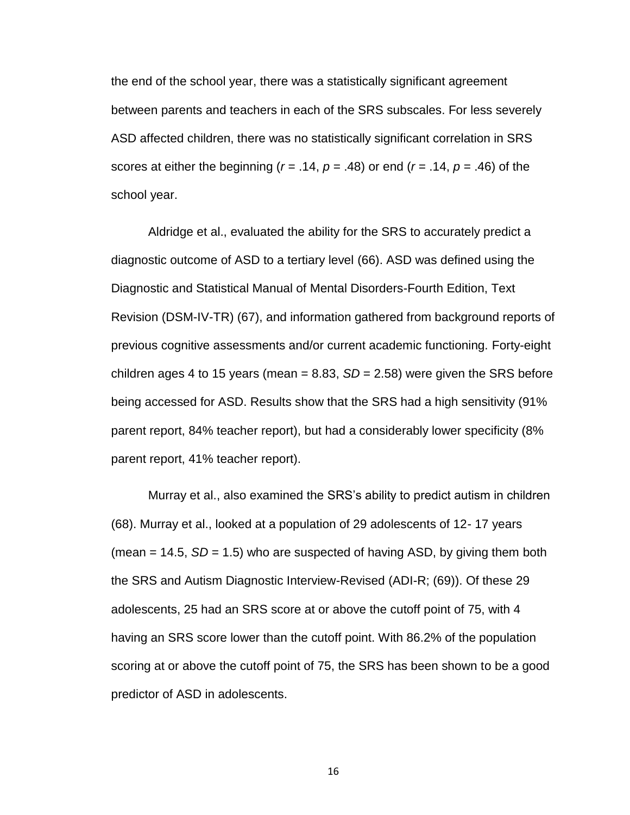the end of the school year, there was a statistically significant agreement between parents and teachers in each of the SRS subscales. For less severely ASD affected children, there was no statistically significant correlation in SRS scores at either the beginning (*r* = .14, *p* = .48) or end (*r* = .14, *p* = .46) of the school year.

Aldridge et al., evaluated the ability for the SRS to accurately predict a diagnostic outcome of ASD to a tertiary level (66). ASD was defined using the Diagnostic and Statistical Manual of Mental Disorders-Fourth Edition, Text Revision (DSM-IV-TR) (67), and information gathered from background reports of previous cognitive assessments and/or current academic functioning. Forty-eight children ages 4 to 15 years (mean  $= 8.83$ ,  $SD = 2.58$ ) were given the SRS before being accessed for ASD. Results show that the SRS had a high sensitivity (91% parent report, 84% teacher report), but had a considerably lower specificity (8% parent report, 41% teacher report).

Murray et al., also examined the SRS's ability to predict autism in children (68). Murray et al., looked at a population of 29 adolescents of 12- 17 years (mean = 14.5, *SD* = 1.5) who are suspected of having ASD, by giving them both the SRS and Autism Diagnostic Interview-Revised (ADI-R; (69)). Of these 29 adolescents, 25 had an SRS score at or above the cutoff point of 75, with 4 having an SRS score lower than the cutoff point. With 86.2% of the population scoring at or above the cutoff point of 75, the SRS has been shown to be a good predictor of ASD in adolescents.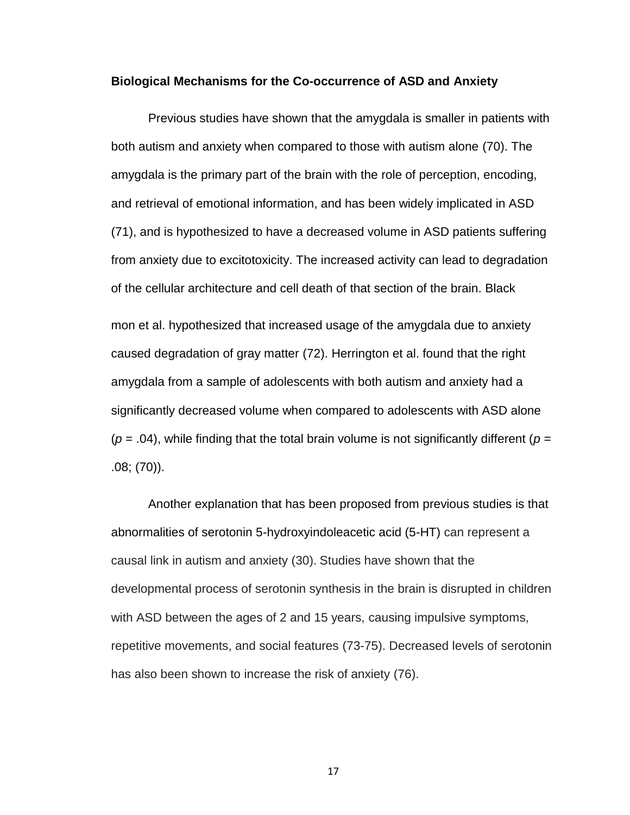#### **Biological Mechanisms for the Co-occurrence of ASD and Anxiety**

Previous studies have shown that the amygdala is smaller in patients with both autism and anxiety when compared to those with autism alone (70). The amygdala is the primary part of the brain with the role of perception, encoding, and retrieval of emotional information, and has been widely implicated in ASD (71), and is hypothesized to have a decreased volume in ASD patients suffering from anxiety due to excitotoxicity. The increased activity can lead to degradation of the cellular architecture and cell death of that section of the brain. Black mon et al. hypothesized that increased usage of the amygdala due to anxiety caused degradation of gray matter (72). Herrington et al. found that the right amygdala from a sample of adolescents with both autism and anxiety had a significantly decreased volume when compared to adolescents with ASD alone  $(p = .04)$ , while finding that the total brain volume is not significantly different  $(p = .04)$ .08; (70)).

Another explanation that has been proposed from previous studies is that abnormalities of serotonin 5-hydroxyindoleacetic acid (5-HT) can represent a causal link in autism and anxiety (30). Studies have shown that the developmental process of serotonin synthesis in the brain is disrupted in children with ASD between the ages of 2 and 15 years, causing impulsive symptoms, repetitive movements, and social features (73-75). Decreased levels of serotonin has also been shown to increase the risk of anxiety (76).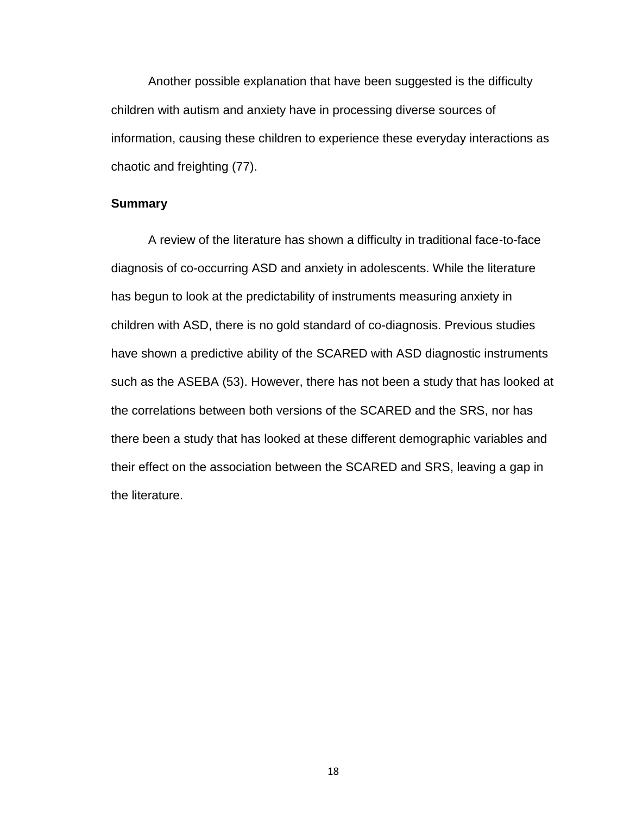Another possible explanation that have been suggested is the difficulty children with autism and anxiety have in processing diverse sources of information, causing these children to experience these everyday interactions as chaotic and freighting (77).

## **Summary**

A review of the literature has shown a difficulty in traditional face-to-face diagnosis of co-occurring ASD and anxiety in adolescents. While the literature has begun to look at the predictability of instruments measuring anxiety in children with ASD, there is no gold standard of co-diagnosis. Previous studies have shown a predictive ability of the SCARED with ASD diagnostic instruments such as the ASEBA (53). However, there has not been a study that has looked at the correlations between both versions of the SCARED and the SRS, nor has there been a study that has looked at these different demographic variables and their effect on the association between the SCARED and SRS, leaving a gap in the literature.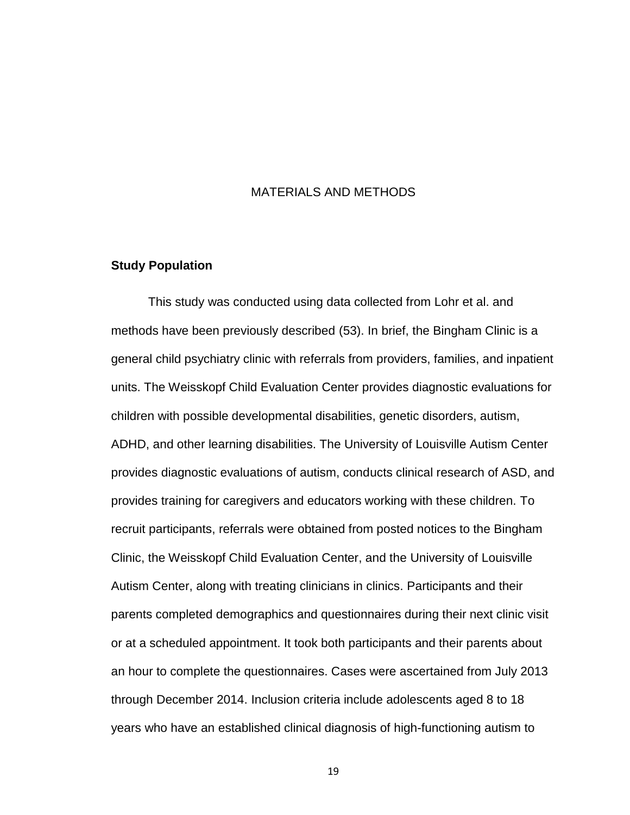## MATERIALS AND METHODS

## **Study Population**

This study was conducted using data collected from Lohr et al. and methods have been previously described (53). In brief, the Bingham Clinic is a general child psychiatry clinic with referrals from providers, families, and inpatient units. The Weisskopf Child Evaluation Center provides diagnostic evaluations for children with possible developmental disabilities, genetic disorders, autism, ADHD, and other learning disabilities. The University of Louisville Autism Center provides diagnostic evaluations of autism, conducts clinical research of ASD, and provides training for caregivers and educators working with these children. To recruit participants, referrals were obtained from posted notices to the Bingham Clinic, the Weisskopf Child Evaluation Center, and the University of Louisville Autism Center, along with treating clinicians in clinics. Participants and their parents completed demographics and questionnaires during their next clinic visit or at a scheduled appointment. It took both participants and their parents about an hour to complete the questionnaires. Cases were ascertained from July 2013 through December 2014. Inclusion criteria include adolescents aged 8 to 18 years who have an established clinical diagnosis of high-functioning autism to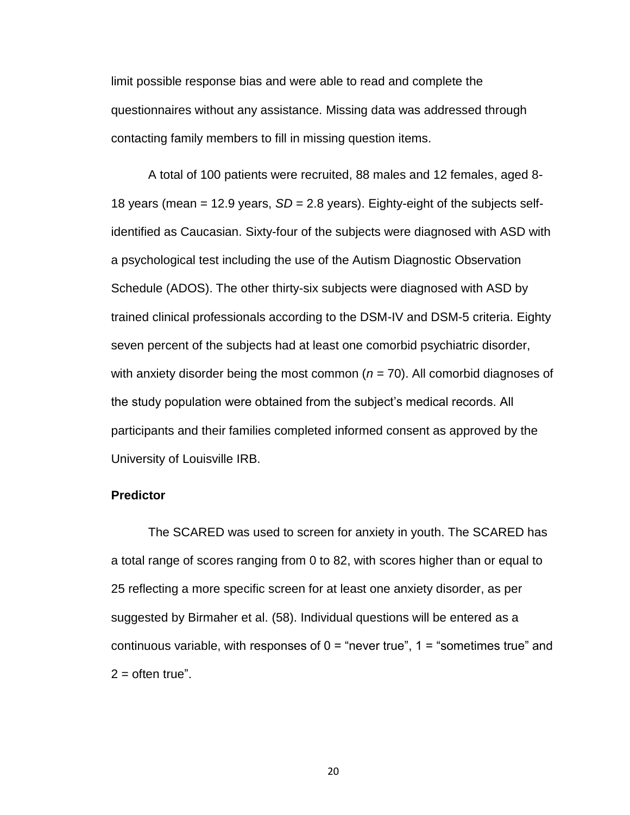limit possible response bias and were able to read and complete the questionnaires without any assistance. Missing data was addressed through contacting family members to fill in missing question items.

A total of 100 patients were recruited, 88 males and 12 females, aged 8- 18 years (mean = 12.9 years, *SD* = 2.8 years). Eighty-eight of the subjects selfidentified as Caucasian. Sixty-four of the subjects were diagnosed with ASD with a psychological test including the use of the Autism Diagnostic Observation Schedule (ADOS). The other thirty-six subjects were diagnosed with ASD by trained clinical professionals according to the DSM-IV and DSM-5 criteria. Eighty seven percent of the subjects had at least one comorbid psychiatric disorder, with anxiety disorder being the most common (*n =* 70). All comorbid diagnoses of the study population were obtained from the subject's medical records. All participants and their families completed informed consent as approved by the University of Louisville IRB.

#### **Predictor**

The SCARED was used to screen for anxiety in youth. The SCARED has a total range of scores ranging from 0 to 82, with scores higher than or equal to 25 reflecting a more specific screen for at least one anxiety disorder, as per suggested by Birmaher et al. (58). Individual questions will be entered as a continuous variable, with responses of  $0 =$  "never true",  $1 =$  "sometimes true" and  $2 =$  often true".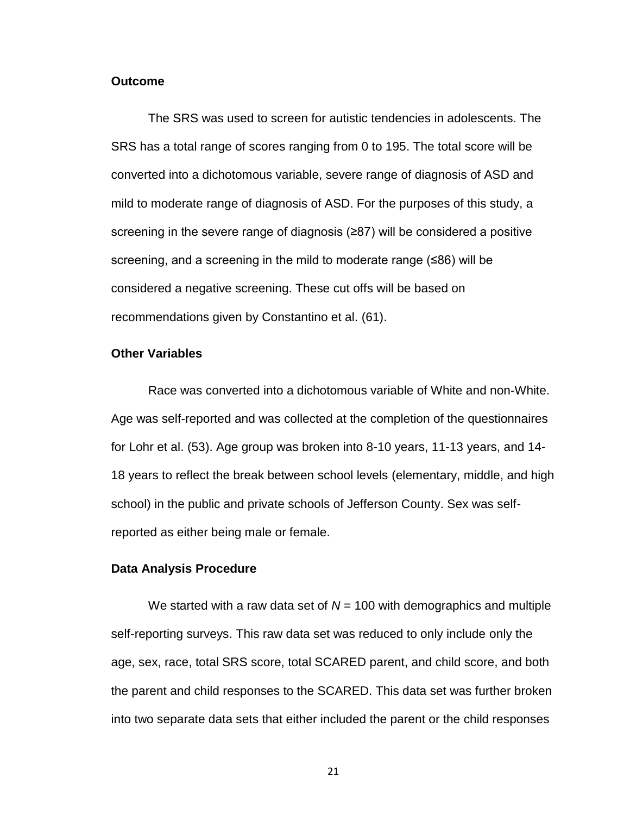#### **Outcome**

The SRS was used to screen for autistic tendencies in adolescents. The SRS has a total range of scores ranging from 0 to 195. The total score will be converted into a dichotomous variable, severe range of diagnosis of ASD and mild to moderate range of diagnosis of ASD. For the purposes of this study, a screening in the severe range of diagnosis (≥87) will be considered a positive screening, and a screening in the mild to moderate range (≤86) will be considered a negative screening. These cut offs will be based on recommendations given by Constantino et al. (61).

#### **Other Variables**

Race was converted into a dichotomous variable of White and non-White. Age was self-reported and was collected at the completion of the questionnaires for Lohr et al. (53). Age group was broken into 8-10 years, 11-13 years, and 14- 18 years to reflect the break between school levels (elementary, middle, and high school) in the public and private schools of Jefferson County. Sex was selfreported as either being male or female.

#### **Data Analysis Procedure**

We started with a raw data set of  $N = 100$  with demographics and multiple self-reporting surveys. This raw data set was reduced to only include only the age, sex, race, total SRS score, total SCARED parent, and child score, and both the parent and child responses to the SCARED. This data set was further broken into two separate data sets that either included the parent or the child responses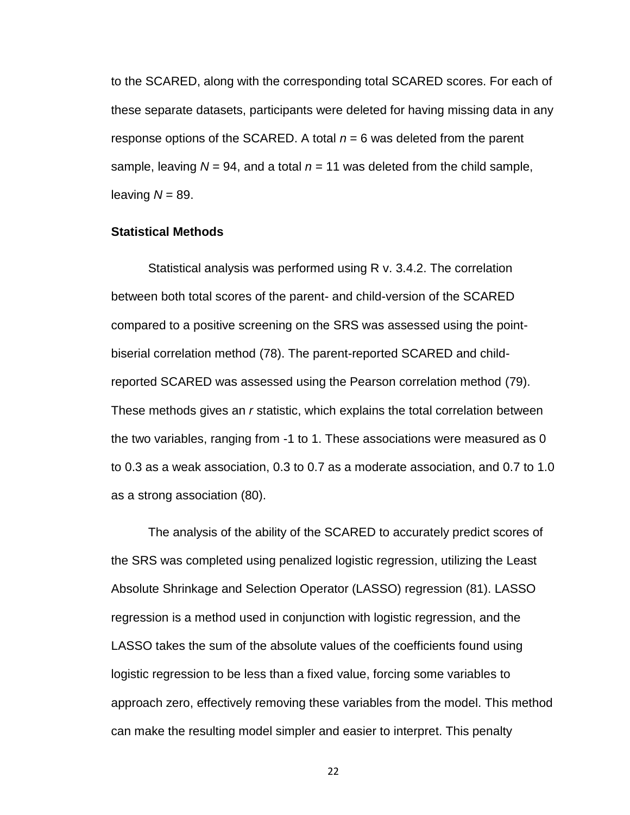to the SCARED, along with the corresponding total SCARED scores. For each of these separate datasets, participants were deleted for having missing data in any response options of the SCARED. A total *n* = 6 was deleted from the parent sample, leaving  $N = 94$ , and a total  $n = 11$  was deleted from the child sample, leaving  $N = 89$ .

#### **Statistical Methods**

Statistical analysis was performed using R v. 3.4.2. The correlation between both total scores of the parent- and child-version of the SCARED compared to a positive screening on the SRS was assessed using the pointbiserial correlation method (78). The parent-reported SCARED and childreported SCARED was assessed using the Pearson correlation method (79). These methods gives an *r* statistic, which explains the total correlation between the two variables, ranging from -1 to 1. These associations were measured as 0 to 0.3 as a weak association, 0.3 to 0.7 as a moderate association, and 0.7 to 1.0 as a strong association (80).

The analysis of the ability of the SCARED to accurately predict scores of the SRS was completed using penalized logistic regression, utilizing the Least Absolute Shrinkage and Selection Operator (LASSO) regression (81). LASSO regression is a method used in conjunction with logistic regression, and the LASSO takes the sum of the absolute values of the coefficients found using logistic regression to be less than a fixed value, forcing some variables to approach zero, effectively removing these variables from the model. This method can make the resulting model simpler and easier to interpret. This penalty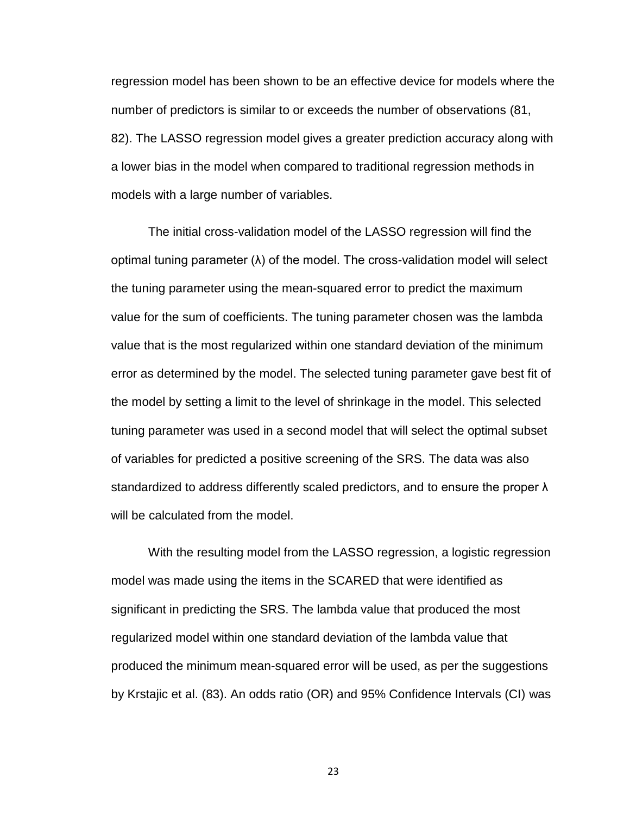regression model has been shown to be an effective device for models where the number of predictors is similar to or exceeds the number of observations (81, 82). The LASSO regression model gives a greater prediction accuracy along with a lower bias in the model when compared to traditional regression methods in models with a large number of variables.

The initial cross-validation model of the LASSO regression will find the optimal tuning parameter (λ) of the model. The cross-validation model will select the tuning parameter using the mean-squared error to predict the maximum value for the sum of coefficients. The tuning parameter chosen was the lambda value that is the most regularized within one standard deviation of the minimum error as determined by the model. The selected tuning parameter gave best fit of the model by setting a limit to the level of shrinkage in the model. This selected tuning parameter was used in a second model that will select the optimal subset of variables for predicted a positive screening of the SRS. The data was also standardized to address differently scaled predictors, and to ensure the proper λ will be calculated from the model.

With the resulting model from the LASSO regression, a logistic regression model was made using the items in the SCARED that were identified as significant in predicting the SRS. The lambda value that produced the most regularized model within one standard deviation of the lambda value that produced the minimum mean-squared error will be used, as per the suggestions by Krstajic et al. (83). An odds ratio (OR) and 95% Confidence Intervals (CI) was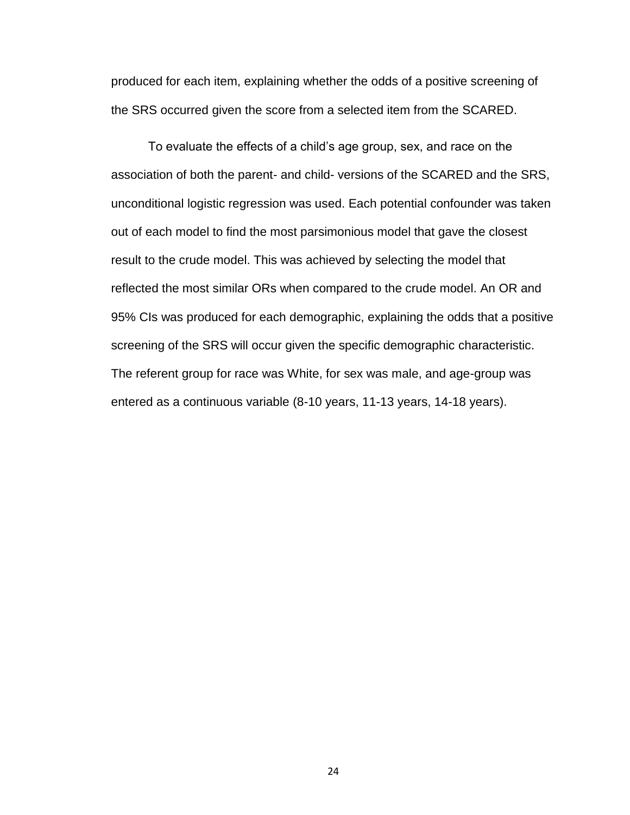produced for each item, explaining whether the odds of a positive screening of the SRS occurred given the score from a selected item from the SCARED.

To evaluate the effects of a child's age group, sex, and race on the association of both the parent- and child- versions of the SCARED and the SRS, unconditional logistic regression was used. Each potential confounder was taken out of each model to find the most parsimonious model that gave the closest result to the crude model. This was achieved by selecting the model that reflected the most similar ORs when compared to the crude model. An OR and 95% CIs was produced for each demographic, explaining the odds that a positive screening of the SRS will occur given the specific demographic characteristic. The referent group for race was White, for sex was male, and age-group was entered as a continuous variable (8-10 years, 11-13 years, 14-18 years).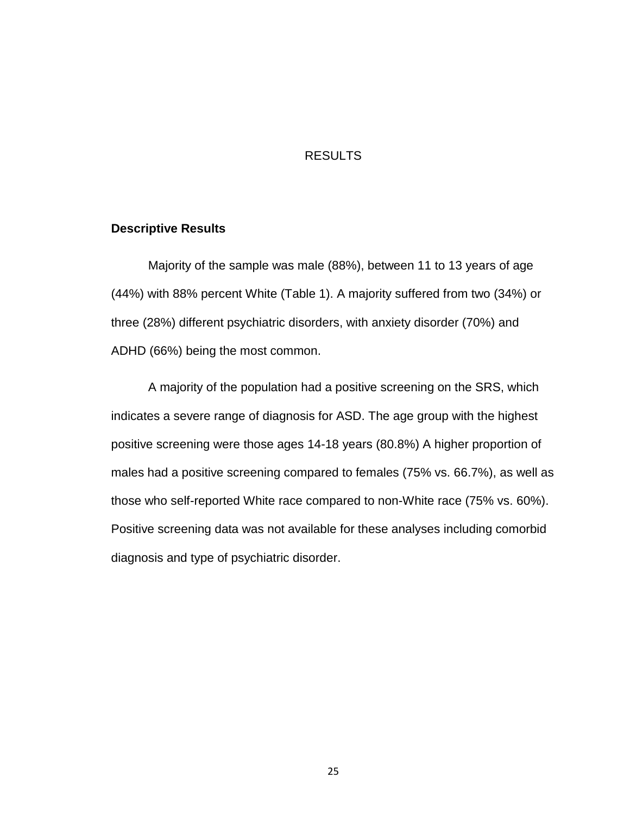## RESULTS

### **Descriptive Results**

Majority of the sample was male (88%), between 11 to 13 years of age (44%) with 88% percent White (Table 1). A majority suffered from two (34%) or three (28%) different psychiatric disorders, with anxiety disorder (70%) and ADHD (66%) being the most common.

A majority of the population had a positive screening on the SRS, which indicates a severe range of diagnosis for ASD. The age group with the highest positive screening were those ages 14-18 years (80.8%) A higher proportion of males had a positive screening compared to females (75% vs. 66.7%), as well as those who self-reported White race compared to non-White race (75% vs. 60%). Positive screening data was not available for these analyses including comorbid diagnosis and type of psychiatric disorder.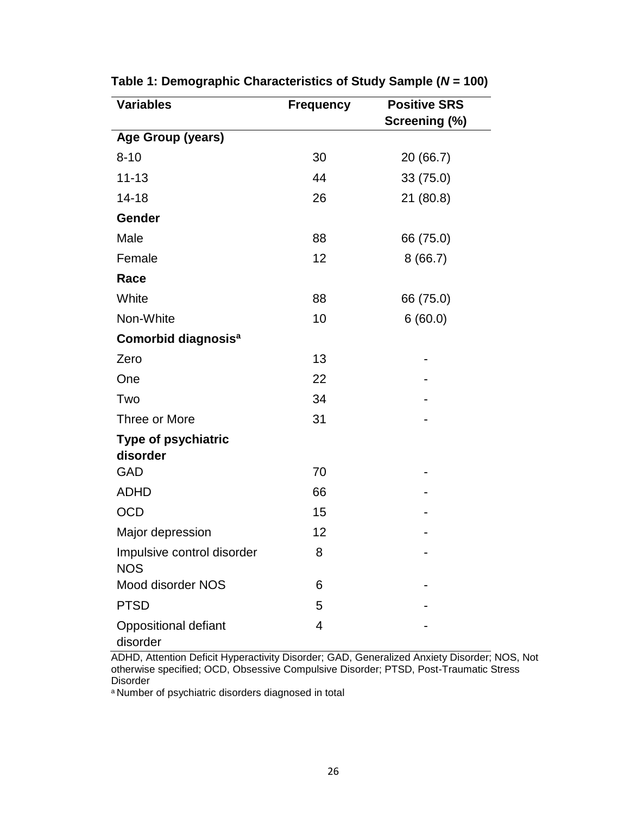| <b>Variables</b>                         | <b>Frequency</b> | <b>Positive SRS</b> |
|------------------------------------------|------------------|---------------------|
|                                          |                  | Screening (%)       |
| Age Group (years)                        |                  |                     |
| $8 - 10$                                 | 30               | 20 (66.7)           |
| $11 - 13$                                | 44               | 33 (75.0)           |
| $14 - 18$                                | 26               | 21(80.8)            |
| Gender                                   |                  |                     |
| Male                                     | 88               | 66 (75.0)           |
| Female                                   | 12               | 8(66.7)             |
| Race                                     |                  |                     |
| White                                    | 88               | 66 (75.0)           |
| Non-White                                | 10               | 6(60.0)             |
| Comorbid diagnosis <sup>a</sup>          |                  |                     |
| Zero                                     | 13               |                     |
| One                                      | 22               |                     |
| Two                                      | 34               |                     |
| Three or More                            | 31               |                     |
| <b>Type of psychiatric</b>               |                  |                     |
| disorder                                 |                  |                     |
| GAD                                      | 70               |                     |
| <b>ADHD</b>                              | 66               |                     |
| <b>OCD</b>                               | 15               |                     |
| Major depression                         | 12               |                     |
| Impulsive control disorder<br><b>NOS</b> | 8                |                     |
| Mood disorder NOS                        | 6                |                     |
| <b>PTSD</b>                              | 5                |                     |
| <b>Oppositional defiant</b><br>disorder  | $\overline{4}$   |                     |

**Table 1: Demographic Characteristics of Study Sample (***N* **= 100)**

ADHD, Attention Deficit Hyperactivity Disorder; GAD, Generalized Anxiety Disorder; NOS, Not otherwise specified; OCD, Obsessive Compulsive Disorder; PTSD, Post-Traumatic Stress Disorder

a Number of psychiatric disorders diagnosed in total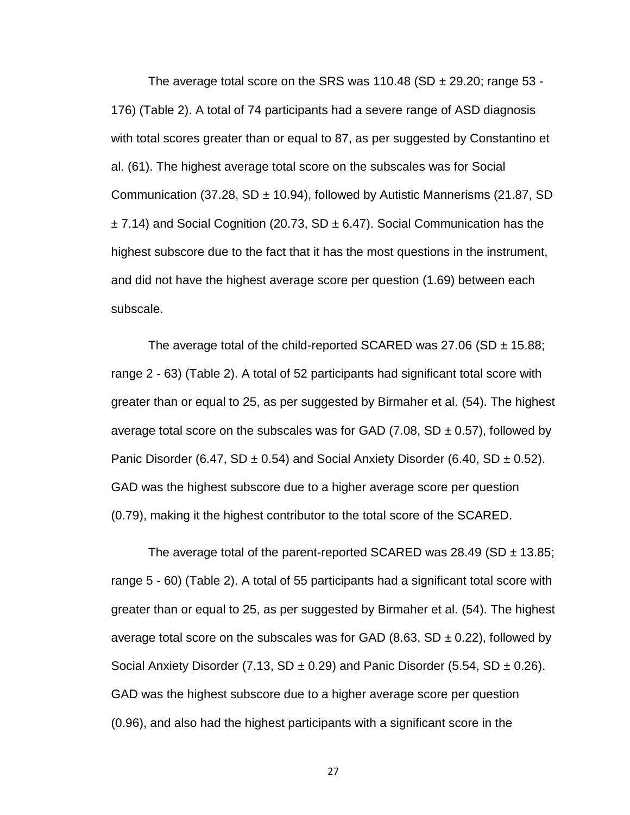The average total score on the SRS was 110.48 (SD  $\pm$  29.20; range 53 -176) (Table 2). A total of 74 participants had a severe range of ASD diagnosis with total scores greater than or equal to 87, as per suggested by Constantino et al. (61). The highest average total score on the subscales was for Social Communication (37.28, SD  $\pm$  10.94), followed by Autistic Mannerisms (21.87, SD  $\pm$  7.14) and Social Cognition (20.73, SD  $\pm$  6.47). Social Communication has the highest subscore due to the fact that it has the most questions in the instrument, and did not have the highest average score per question (1.69) between each subscale.

The average total of the child-reported SCARED was 27.06 (SD  $\pm$  15.88; range 2 - 63) (Table 2). A total of 52 participants had significant total score with greater than or equal to 25, as per suggested by Birmaher et al. (54). The highest average total score on the subscales was for GAD (7.08, SD  $\pm$  0.57), followed by Panic Disorder (6.47, SD  $\pm$  0.54) and Social Anxiety Disorder (6.40, SD  $\pm$  0.52). GAD was the highest subscore due to a higher average score per question (0.79), making it the highest contributor to the total score of the SCARED.

The average total of the parent-reported SCARED was 28.49 (SD  $\pm$  13.85; range 5 - 60) (Table 2). A total of 55 participants had a significant total score with greater than or equal to 25, as per suggested by Birmaher et al. (54). The highest average total score on the subscales was for GAD (8.63, SD  $\pm$  0.22), followed by Social Anxiety Disorder (7.13, SD  $\pm$  0.29) and Panic Disorder (5.54, SD  $\pm$  0.26). GAD was the highest subscore due to a higher average score per question (0.96), and also had the highest participants with a significant score in the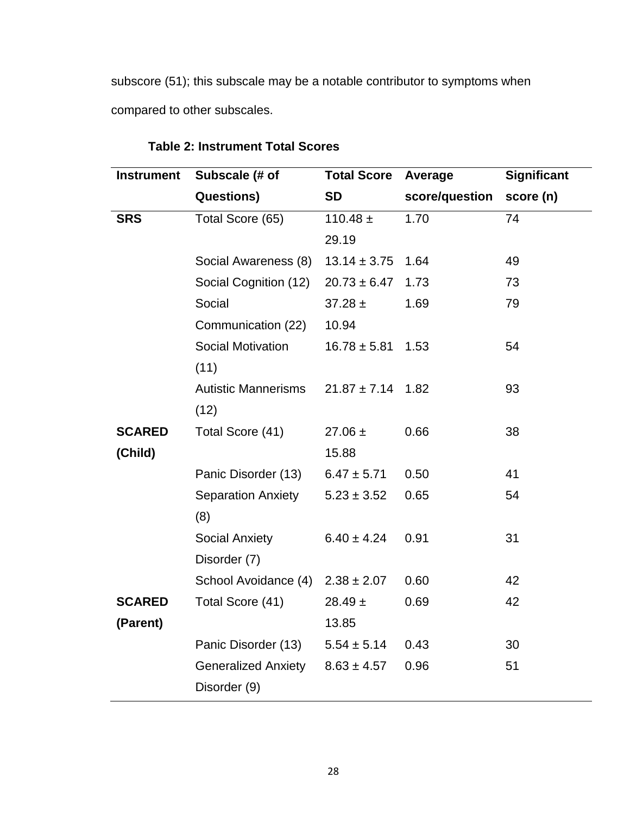subscore (51); this subscale may be a notable contributor to symptoms when compared to other subscales.

| <b>Instrument</b> | Subscale (# of             | <b>Total Score</b> | Average        | <b>Significant</b> |
|-------------------|----------------------------|--------------------|----------------|--------------------|
|                   | <b>Questions)</b>          | <b>SD</b>          | score/question | score (n)          |
| <b>SRS</b>        | Total Score (65)           | $110.48 \pm$       | 1.70           | 74                 |
|                   |                            | 29.19              |                |                    |
|                   | Social Awareness (8)       | $13.14 \pm 3.75$   | 1.64           | 49                 |
|                   | Social Cognition (12)      | $20.73 \pm 6.47$   | 1.73           | 73                 |
|                   | Social                     | $37.28 \pm$        | 1.69           | 79                 |
|                   | Communication (22)         | 10.94              |                |                    |
|                   | <b>Social Motivation</b>   | $16.78 \pm 5.81$   | 1.53           | 54                 |
|                   | (11)                       |                    |                |                    |
|                   | <b>Autistic Mannerisms</b> | $21.87 \pm 7.14$   | 1.82           | 93                 |
|                   | (12)                       |                    |                |                    |
| <b>SCARED</b>     | Total Score (41)           | $27.06 \pm$        | 0.66           | 38                 |
| (Child)           |                            | 15.88              |                |                    |
|                   | Panic Disorder (13)        | $6.47 \pm 5.71$    | 0.50           | 41                 |
|                   | <b>Separation Anxiety</b>  | $5.23 \pm 3.52$    | 0.65           | 54                 |
|                   | (8)                        |                    |                |                    |
|                   | <b>Social Anxiety</b>      | $6.40 \pm 4.24$    | 0.91           | 31                 |
|                   | Disorder (7)               |                    |                |                    |
|                   | School Avoidance (4)       | $2.38 \pm 2.07$    | 0.60           | 42                 |
| <b>SCARED</b>     | Total Score (41)           | $28.49 \pm$        | 0.69           | 42                 |
| (Parent)          |                            | 13.85              |                |                    |
|                   | Panic Disorder (13)        | $5.54 \pm 5.14$    | 0.43           | 30                 |
|                   | <b>Generalized Anxiety</b> | $8.63 \pm 4.57$    | 0.96           | 51                 |
|                   | Disorder (9)               |                    |                |                    |

## **Table 2: Instrument Total Scores**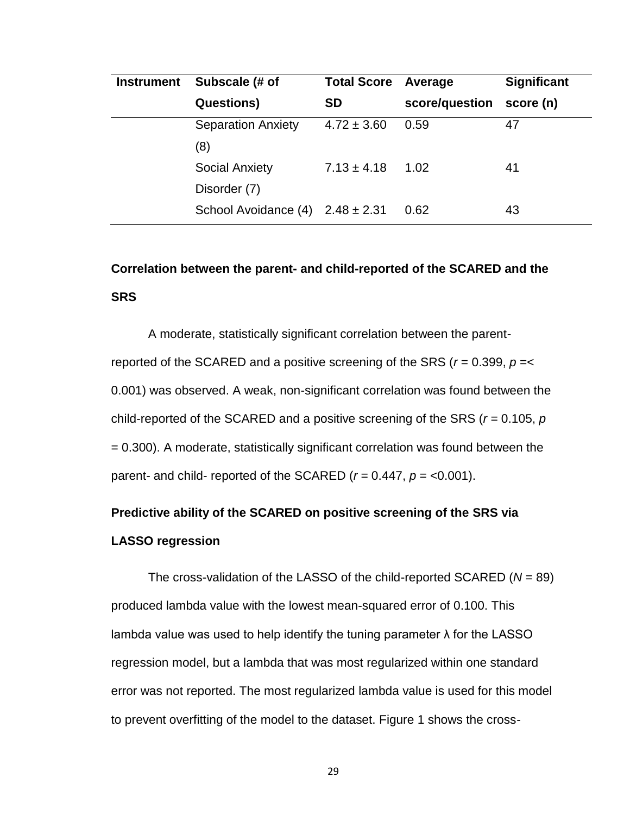| <b>Instrument</b> | Subscale (# of                         | <b>Total Score</b> | Average        | <b>Significant</b> |
|-------------------|----------------------------------------|--------------------|----------------|--------------------|
|                   | <b>Questions</b> )                     | <b>SD</b>          | score/question | score (n)          |
|                   | <b>Separation Anxiety</b>              | $4.72 \pm 3.60$    | 0.59           | 47                 |
|                   | (8)                                    |                    |                |                    |
|                   | <b>Social Anxiety</b>                  | $7.13 \pm 4.18$    | 1.02           | 41                 |
|                   | Disorder (7)                           |                    |                |                    |
|                   | School Avoidance $(4)$ 2.48 $\pm$ 2.31 |                    | 0.62           | 43                 |

# **Correlation between the parent- and child-reported of the SCARED and the SRS**

A moderate, statistically significant correlation between the parentreported of the SCARED and a positive screening of the SRS (*r* = 0.399, *p* =< 0.001) was observed. A weak, non-significant correlation was found between the child-reported of the SCARED and a positive screening of the SRS (*r =* 0.105, *p*  = 0.300). A moderate, statistically significant correlation was found between the parent- and child- reported of the SCARED ( $r = 0.447$ ,  $p = <0.001$ ).

# **Predictive ability of the SCARED on positive screening of the SRS via LASSO regression**

The cross-validation of the LASSO of the child-reported SCARED (*N* = 89) produced lambda value with the lowest mean-squared error of 0.100. This lambda value was used to help identify the tuning parameter  $\lambda$  for the LASSO regression model, but a lambda that was most regularized within one standard error was not reported. The most regularized lambda value is used for this model to prevent overfitting of the model to the dataset. Figure 1 shows the cross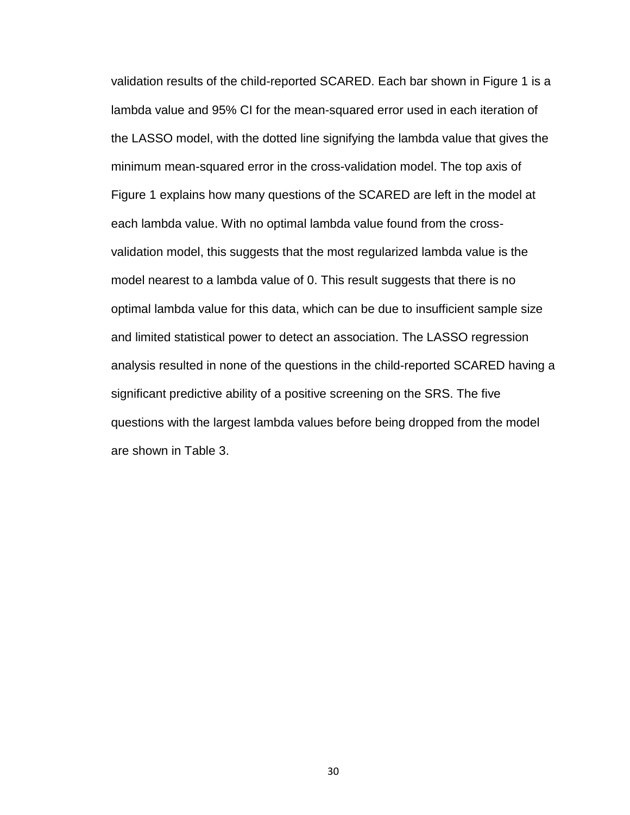validation results of the child-reported SCARED. Each bar shown in Figure 1 is a lambda value and 95% CI for the mean-squared error used in each iteration of the LASSO model, with the dotted line signifying the lambda value that gives the minimum mean-squared error in the cross-validation model. The top axis of Figure 1 explains how many questions of the SCARED are left in the model at each lambda value. With no optimal lambda value found from the crossvalidation model, this suggests that the most regularized lambda value is the model nearest to a lambda value of 0. This result suggests that there is no optimal lambda value for this data, which can be due to insufficient sample size and limited statistical power to detect an association. The LASSO regression analysis resulted in none of the questions in the child-reported SCARED having a significant predictive ability of a positive screening on the SRS. The five questions with the largest lambda values before being dropped from the model are shown in Table 3.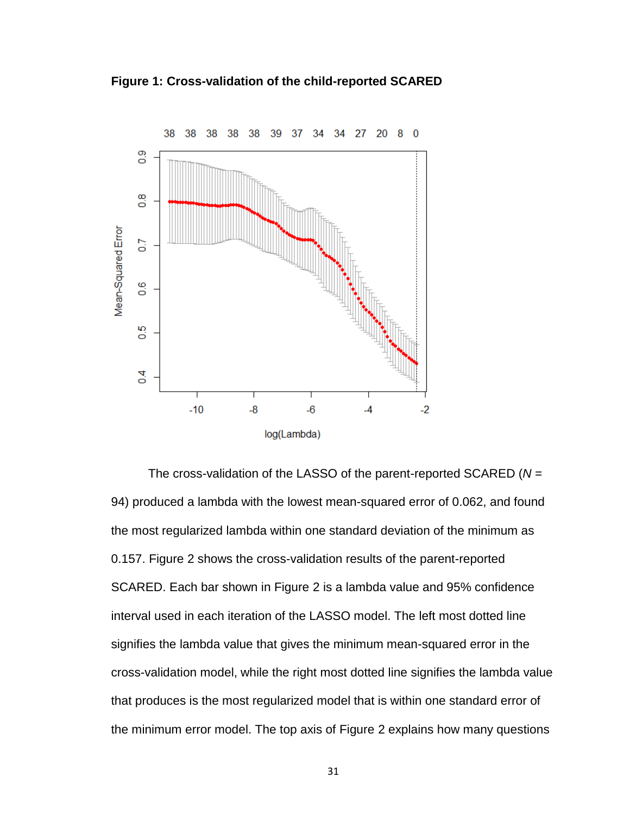**Figure 1: Cross-validation of the child-reported SCARED**



The cross-validation of the LASSO of the parent-reported SCARED (*N* = 94) produced a lambda with the lowest mean-squared error of 0.062, and found the most regularized lambda within one standard deviation of the minimum as 0.157. Figure 2 shows the cross-validation results of the parent-reported SCARED. Each bar shown in Figure 2 is a lambda value and 95% confidence interval used in each iteration of the LASSO model. The left most dotted line signifies the lambda value that gives the minimum mean-squared error in the cross-validation model, while the right most dotted line signifies the lambda value that produces is the most regularized model that is within one standard error of the minimum error model. The top axis of Figure 2 explains how many questions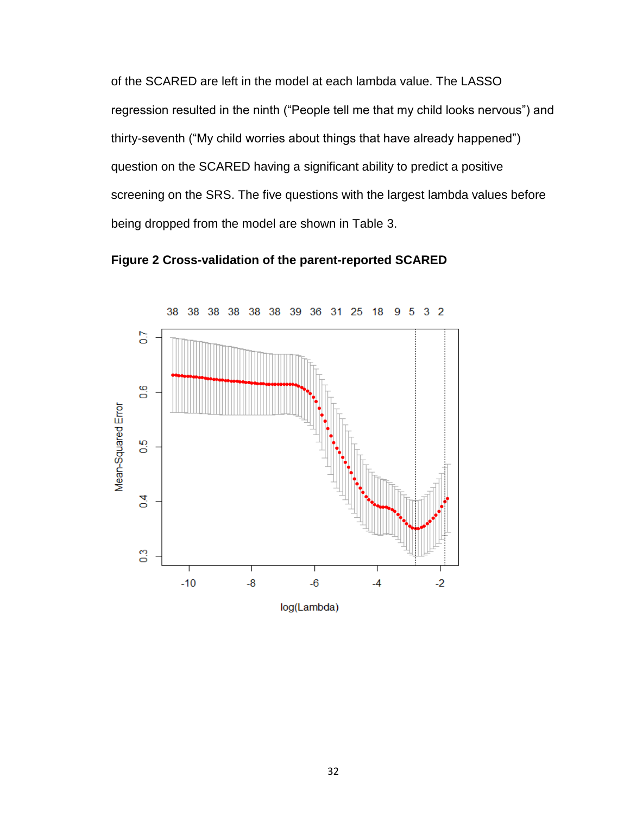of the SCARED are left in the model at each lambda value. The LASSO regression resulted in the ninth ("People tell me that my child looks nervous") and thirty-seventh ("My child worries about things that have already happened") question on the SCARED having a significant ability to predict a positive screening on the SRS. The five questions with the largest lambda values before being dropped from the model are shown in Table 3.



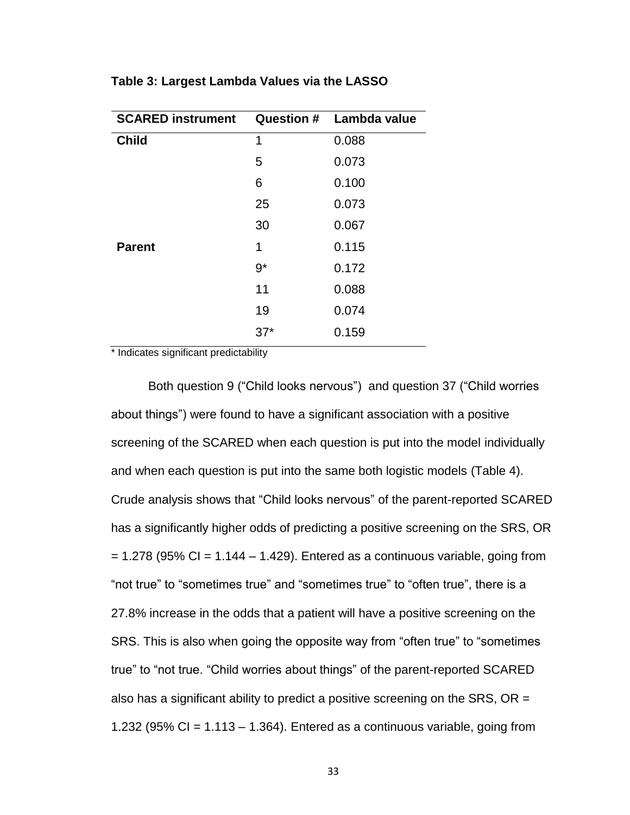| <b>SCARED instrument</b> |       | <b>Question # Lambda value</b> |
|--------------------------|-------|--------------------------------|
| <b>Child</b>             | 1     | 0.088                          |
|                          | 5     | 0.073                          |
|                          | 6     | 0.100                          |
|                          | 25    | 0.073                          |
|                          | 30    | 0.067                          |
| <b>Parent</b>            | 1     | 0.115                          |
|                          | $9*$  | 0.172                          |
|                          | 11    | 0.088                          |
|                          | 19    | 0.074                          |
|                          | $37*$ | 0.159                          |

**Table 3: Largest Lambda Values via the LASSO**

\* Indicates significant predictability

Both question 9 ("Child looks nervous") and question 37 ("Child worries about things") were found to have a significant association with a positive screening of the SCARED when each question is put into the model individually and when each question is put into the same both logistic models (Table 4). Crude analysis shows that "Child looks nervous" of the parent-reported SCARED has a significantly higher odds of predicting a positive screening on the SRS, OR  $= 1.278$  (95% CI = 1.144 – 1.429). Entered as a continuous variable, going from "not true" to "sometimes true" and "sometimes true" to "often true", there is a 27.8% increase in the odds that a patient will have a positive screening on the SRS. This is also when going the opposite way from "often true" to "sometimes true" to "not true. "Child worries about things" of the parent-reported SCARED also has a significant ability to predict a positive screening on the SRS, OR = 1.232 (95% CI =  $1.113 - 1.364$ ). Entered as a continuous variable, going from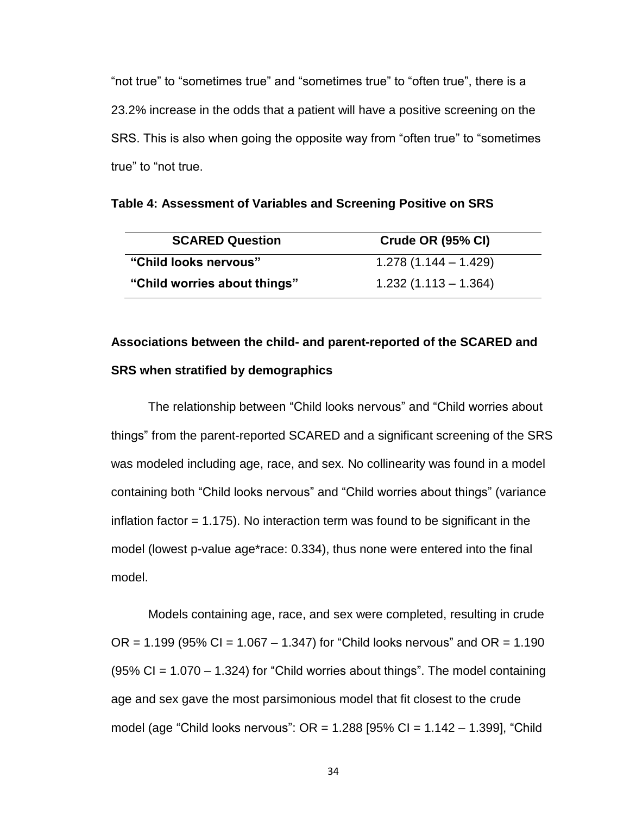"not true" to "sometimes true" and "sometimes true" to "often true", there is a 23.2% increase in the odds that a patient will have a positive screening on the SRS. This is also when going the opposite way from "often true" to "sometimes true" to "not true.

| <b>SCARED Question</b>       | <b>Crude OR (95% CI)</b> |
|------------------------------|--------------------------|
| "Child looks nervous"        | $1.278(1.144 - 1.429)$   |
| "Child worries about things" | $1.232(1.113 - 1.364)$   |

**Table 4: Assessment of Variables and Screening Positive on SRS** 

# **Associations between the child- and parent-reported of the SCARED and SRS when stratified by demographics**

The relationship between "Child looks nervous" and "Child worries about things" from the parent-reported SCARED and a significant screening of the SRS was modeled including age, race, and sex. No collinearity was found in a model containing both "Child looks nervous" and "Child worries about things" (variance inflation factor = 1.175). No interaction term was found to be significant in the model (lowest p-value age\*race: 0.334), thus none were entered into the final model.

Models containing age, race, and sex were completed, resulting in crude OR =  $1.199$  (95% CI =  $1.067 - 1.347$ ) for "Child looks nervous" and OR =  $1.190$  $(95\% \text{ CI} = 1.070 - 1.324)$  for "Child worries about things". The model containing age and sex gave the most parsimonious model that fit closest to the crude model (age "Child looks nervous":  $OR = 1.288$  [95% CI = 1.142 – 1.399], "Child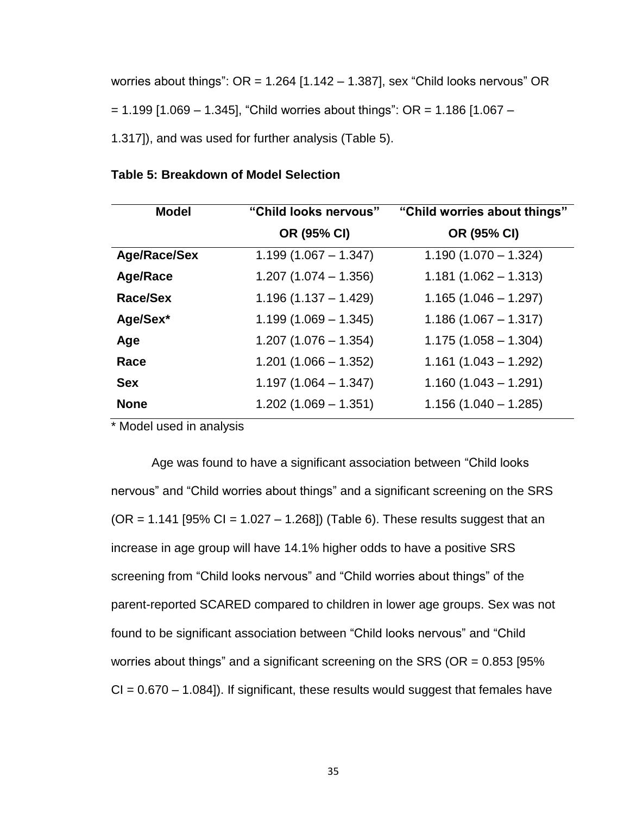worries about things":  $OR = 1.264$  [1.142 – 1.387], sex "Child looks nervous" OR  $= 1.199$  [1.069 – 1.345], "Child worries about things": OR = 1.186 [1.067 – 1.317]), and was used for further analysis (Table 5).

| <b>Model</b>        | "Child looks nervous"  | "Child worries about things" |
|---------------------|------------------------|------------------------------|
|                     | OR (95% CI)            | OR (95% CI)                  |
| <b>Age/Race/Sex</b> | $1.199(1.067 - 1.347)$ | $1.190(1.070 - 1.324)$       |
| <b>Age/Race</b>     | $1.207(1.074 - 1.356)$ | $1.181(1.062 - 1.313)$       |
| Race/Sex            | $1.196(1.137 - 1.429)$ | $1.165(1.046 - 1.297)$       |
| Age/Sex*            | $1.199(1.069 - 1.345)$ | $1.186(1.067 - 1.317)$       |
| Age                 | $1.207(1.076 - 1.354)$ | $1.175(1.058 - 1.304)$       |
| Race                | $1.201(1.066 - 1.352)$ | $1.161(1.043 - 1.292)$       |
| <b>Sex</b>          | $1.197(1.064 - 1.347)$ | $1.160(1.043 - 1.291)$       |
| <b>None</b>         | $1.202(1.069 - 1.351)$ | $1.156(1.040 - 1.285)$       |

#### **Table 5: Breakdown of Model Selection**

\* Model used in analysis

Age was found to have a significant association between "Child looks nervous" and "Child worries about things" and a significant screening on the SRS  $(OR = 1.141 [95\% CI = 1.027 - 1.268])$  (Table 6). These results suggest that an increase in age group will have 14.1% higher odds to have a positive SRS screening from "Child looks nervous" and "Child worries about things" of the parent-reported SCARED compared to children in lower age groups. Sex was not found to be significant association between "Child looks nervous" and "Child worries about things" and a significant screening on the SRS (OR = 0.853 [95%  $CI = 0.670 - 1.084$ ]). If significant, these results would suggest that females have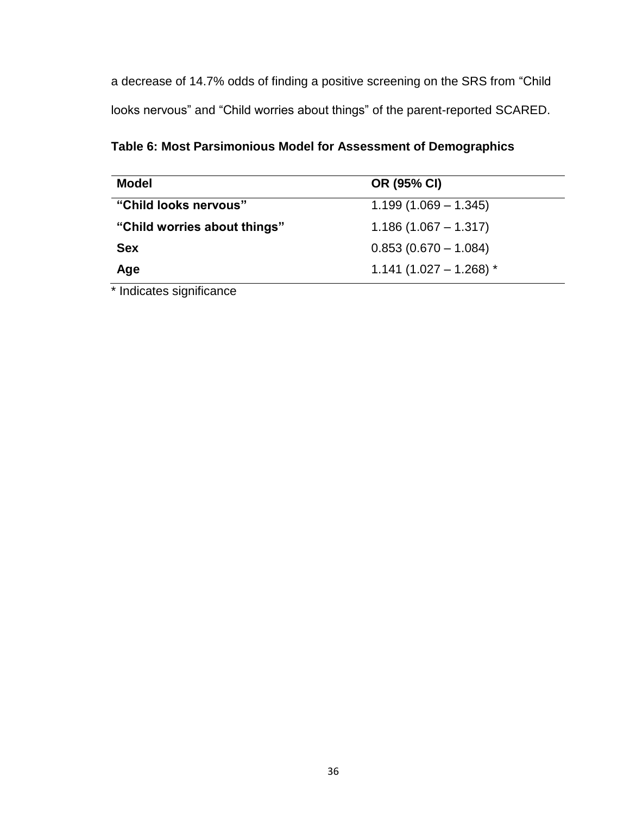a decrease of 14.7% odds of finding a positive screening on the SRS from "Child looks nervous" and "Child worries about things" of the parent-reported SCARED.

**Table 6: Most Parsimonious Model for Assessment of Demographics**

| <b>Model</b>                 | OR (95% CI)              |
|------------------------------|--------------------------|
| "Child looks nervous"        | $1.199(1.069 - 1.345)$   |
| "Child worries about things" | $1.186(1.067 - 1.317)$   |
| <b>Sex</b>                   | $0.853(0.670 - 1.084)$   |
| Age                          | $1.141(1.027 - 1.268)$ * |

\* Indicates significance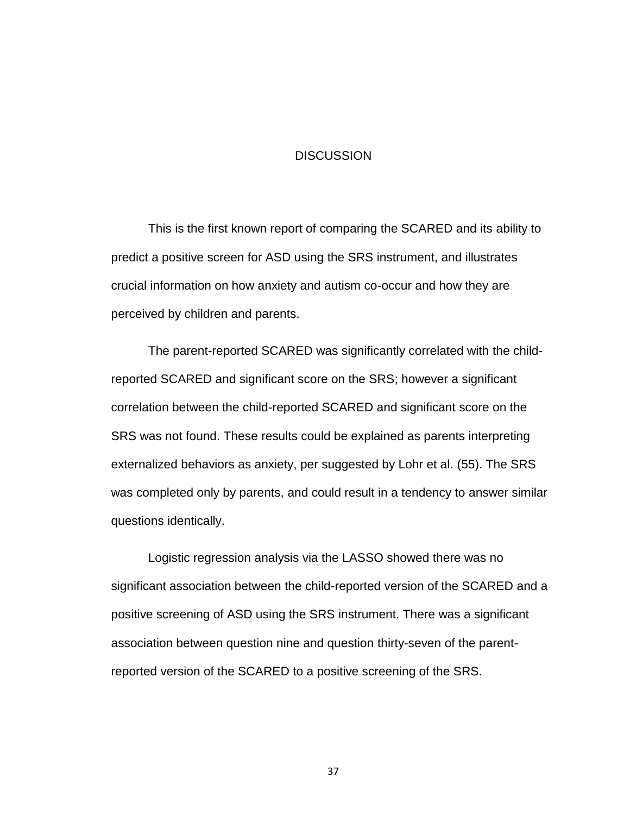#### **DISCUSSION**

This is the first known report of comparing the SCARED and its ability to predict a positive screen for ASD using the SRS instrument, and illustrates crucial information on how anxiety and autism co-occur and how they are perceived by children and parents.

The parent-reported SCARED was significantly correlated with the childreported SCARED and significant score on the SRS; however a significant correlation between the child-reported SCARED and significant score on the SRS was not found. These results could be explained as parents interpreting externalized behaviors as anxiety, per suggested by Lohr et al. (55). The SRS was completed only by parents, and could result in a tendency to answer similar questions identically.

Logistic regression analysis via the LASSO showed there was no significant association between the child-reported version of the SCARED and a positive screening of ASD using the SRS instrument. There was a significant association between question nine and question thirty-seven of the parentreported version of the SCARED to a positive screening of the SRS.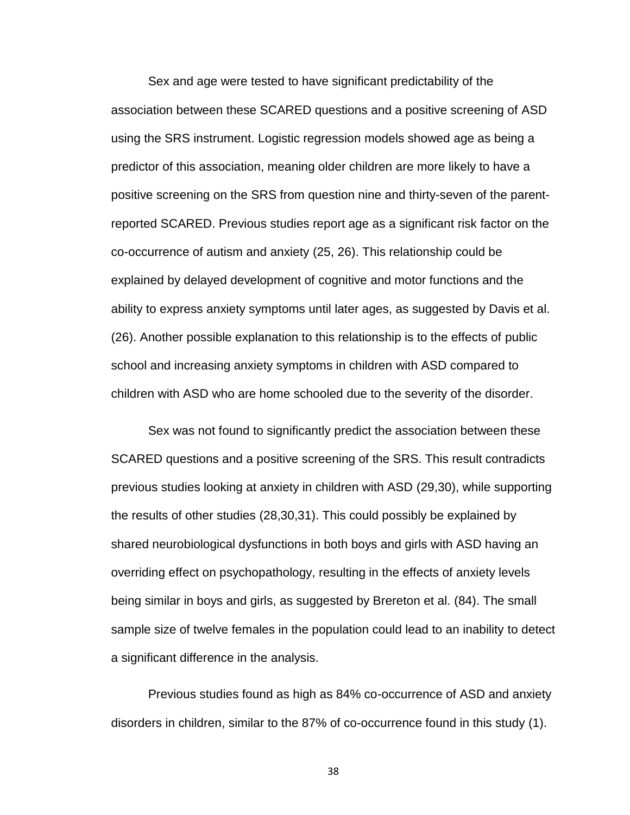Sex and age were tested to have significant predictability of the association between these SCARED questions and a positive screening of ASD using the SRS instrument. Logistic regression models showed age as being a predictor of this association, meaning older children are more likely to have a positive screening on the SRS from question nine and thirty-seven of the parentreported SCARED. Previous studies report age as a significant risk factor on the co-occurrence of autism and anxiety (25, 26). This relationship could be explained by delayed development of cognitive and motor functions and the ability to express anxiety symptoms until later ages, as suggested by Davis et al. (26). Another possible explanation to this relationship is to the effects of public school and increasing anxiety symptoms in children with ASD compared to children with ASD who are home schooled due to the severity of the disorder.

Sex was not found to significantly predict the association between these SCARED questions and a positive screening of the SRS. This result contradicts previous studies looking at anxiety in children with ASD (29,30), while supporting the results of other studies (28,30,31). This could possibly be explained by shared neurobiological dysfunctions in both boys and girls with ASD having an overriding effect on psychopathology, resulting in the effects of anxiety levels being similar in boys and girls, as suggested by Brereton et al. (84). The small sample size of twelve females in the population could lead to an inability to detect a significant difference in the analysis.

Previous studies found as high as 84% co-occurrence of ASD and anxiety disorders in children, similar to the 87% of co-occurrence found in this study (1).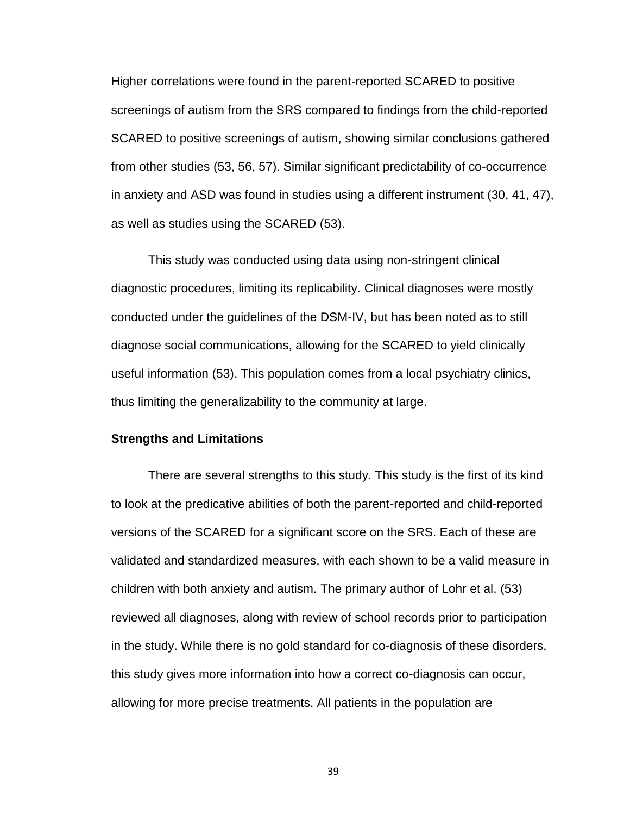Higher correlations were found in the parent-reported SCARED to positive screenings of autism from the SRS compared to findings from the child-reported SCARED to positive screenings of autism, showing similar conclusions gathered from other studies (53, 56, 57). Similar significant predictability of co-occurrence in anxiety and ASD was found in studies using a different instrument (30, 41, 47), as well as studies using the SCARED (53).

This study was conducted using data using non-stringent clinical diagnostic procedures, limiting its replicability. Clinical diagnoses were mostly conducted under the guidelines of the DSM-IV, but has been noted as to still diagnose social communications, allowing for the SCARED to yield clinically useful information (53). This population comes from a local psychiatry clinics, thus limiting the generalizability to the community at large.

## **Strengths and Limitations**

There are several strengths to this study. This study is the first of its kind to look at the predicative abilities of both the parent-reported and child-reported versions of the SCARED for a significant score on the SRS. Each of these are validated and standardized measures, with each shown to be a valid measure in children with both anxiety and autism. The primary author of Lohr et al. (53) reviewed all diagnoses, along with review of school records prior to participation in the study. While there is no gold standard for co-diagnosis of these disorders, this study gives more information into how a correct co-diagnosis can occur, allowing for more precise treatments. All patients in the population are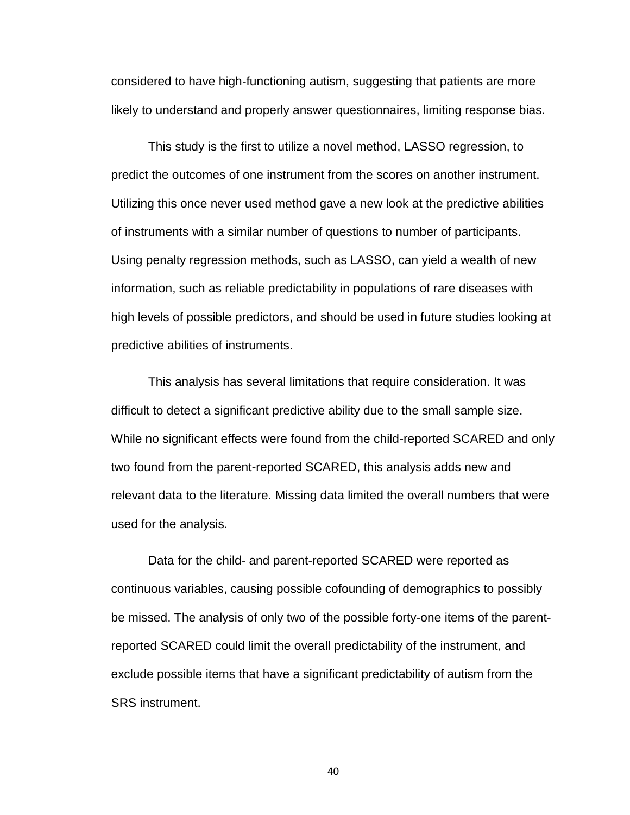considered to have high-functioning autism, suggesting that patients are more likely to understand and properly answer questionnaires, limiting response bias.

This study is the first to utilize a novel method, LASSO regression, to predict the outcomes of one instrument from the scores on another instrument. Utilizing this once never used method gave a new look at the predictive abilities of instruments with a similar number of questions to number of participants. Using penalty regression methods, such as LASSO, can yield a wealth of new information, such as reliable predictability in populations of rare diseases with high levels of possible predictors, and should be used in future studies looking at predictive abilities of instruments.

This analysis has several limitations that require consideration. It was difficult to detect a significant predictive ability due to the small sample size. While no significant effects were found from the child-reported SCARED and only two found from the parent-reported SCARED, this analysis adds new and relevant data to the literature. Missing data limited the overall numbers that were used for the analysis.

Data for the child- and parent-reported SCARED were reported as continuous variables, causing possible cofounding of demographics to possibly be missed. The analysis of only two of the possible forty-one items of the parentreported SCARED could limit the overall predictability of the instrument, and exclude possible items that have a significant predictability of autism from the SRS instrument.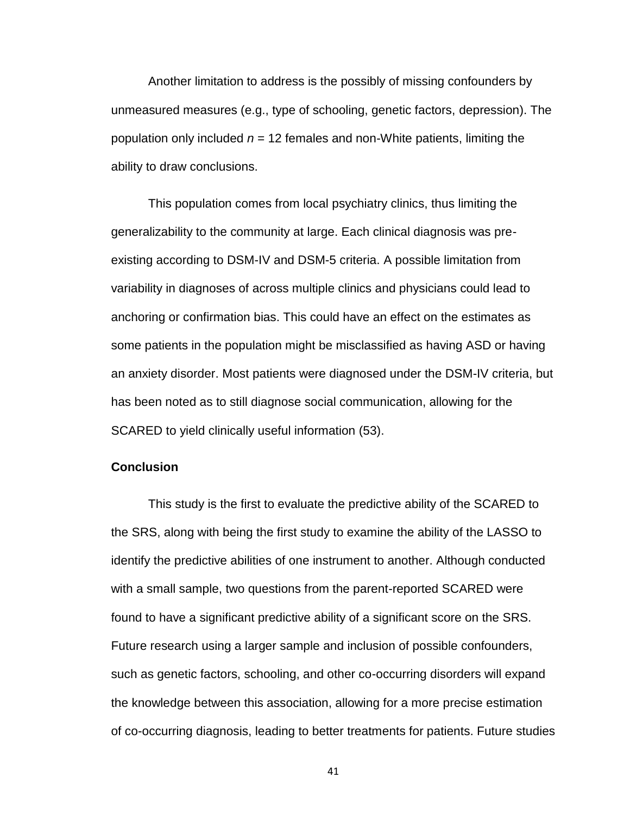Another limitation to address is the possibly of missing confounders by unmeasured measures (e.g., type of schooling, genetic factors, depression). The population only included *n* = 12 females and non-White patients, limiting the ability to draw conclusions.

This population comes from local psychiatry clinics, thus limiting the generalizability to the community at large. Each clinical diagnosis was preexisting according to DSM-IV and DSM-5 criteria. A possible limitation from variability in diagnoses of across multiple clinics and physicians could lead to anchoring or confirmation bias. This could have an effect on the estimates as some patients in the population might be misclassified as having ASD or having an anxiety disorder. Most patients were diagnosed under the DSM-IV criteria, but has been noted as to still diagnose social communication, allowing for the SCARED to yield clinically useful information (53).

#### **Conclusion**

This study is the first to evaluate the predictive ability of the SCARED to the SRS, along with being the first study to examine the ability of the LASSO to identify the predictive abilities of one instrument to another. Although conducted with a small sample, two questions from the parent-reported SCARED were found to have a significant predictive ability of a significant score on the SRS. Future research using a larger sample and inclusion of possible confounders, such as genetic factors, schooling, and other co-occurring disorders will expand the knowledge between this association, allowing for a more precise estimation of co-occurring diagnosis, leading to better treatments for patients. Future studies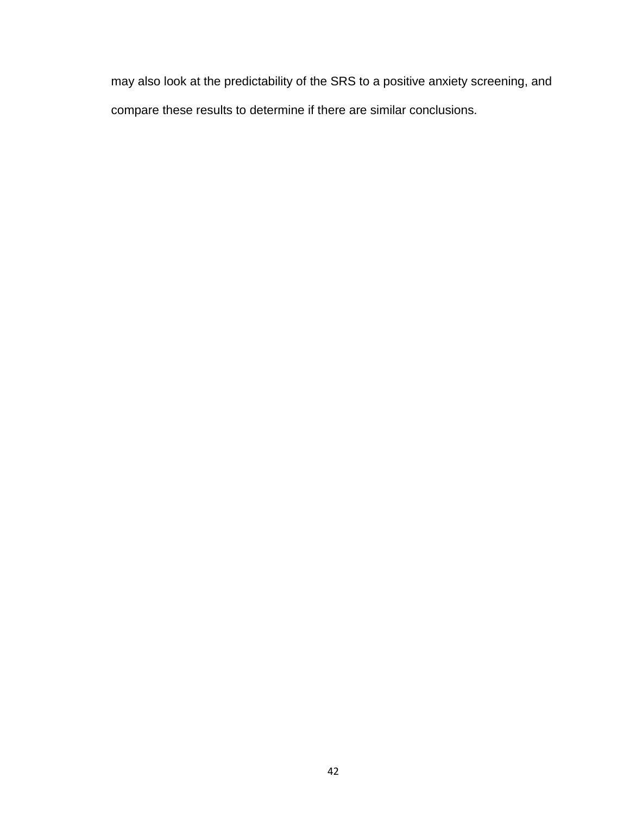may also look at the predictability of the SRS to a positive anxiety screening, and compare these results to determine if there are similar conclusions.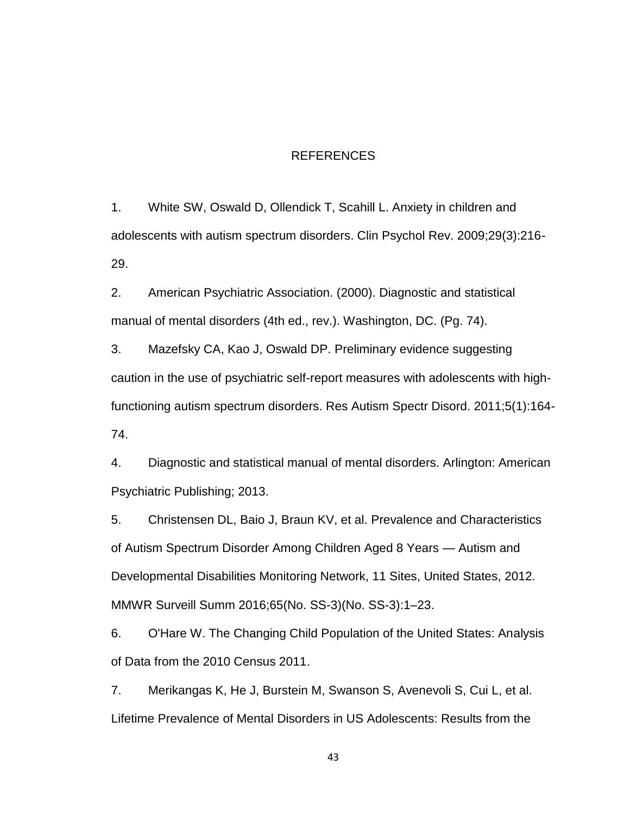### REFERENCES

1. White SW, Oswald D, Ollendick T, Scahill L. Anxiety in children and adolescents with autism spectrum disorders. Clin Psychol Rev. 2009;29(3):216- 29.

2. American Psychiatric Association. (2000). Diagnostic and statistical manual of mental disorders (4th ed., rev.). Washington, DC. (Pg. 74).

3. Mazefsky CA, Kao J, Oswald DP. Preliminary evidence suggesting caution in the use of psychiatric self-report measures with adolescents with highfunctioning autism spectrum disorders. Res Autism Spectr Disord. 2011;5(1):164- 74.

4. Diagnostic and statistical manual of mental disorders. Arlington: American Psychiatric Publishing; 2013.

5. Christensen DL, Baio J, Braun KV, et al. Prevalence and Characteristics of Autism Spectrum Disorder Among Children Aged 8 Years — Autism and Developmental Disabilities Monitoring Network, 11 Sites, United States, 2012. MMWR Surveill Summ 2016;65(No. SS-3)(No. SS-3):1–23.

6. O'Hare W. The Changing Child Population of the United States: Analysis of Data from the 2010 Census 2011.

7. Merikangas K, He J, Burstein M, Swanson S, Avenevoli S, Cui L, et al. Lifetime Prevalence of Mental Disorders in US Adolescents: Results from the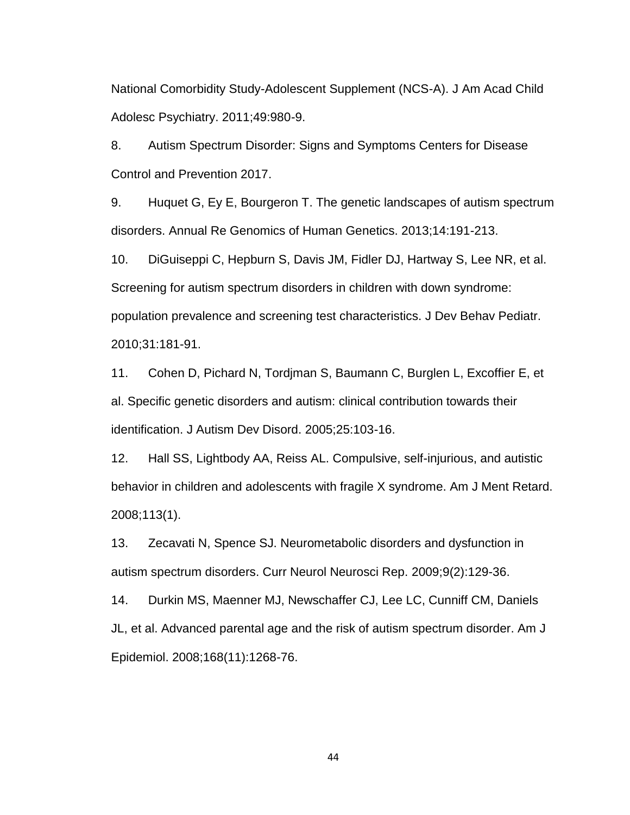National Comorbidity Study-Adolescent Supplement (NCS-A). J Am Acad Child Adolesc Psychiatry. 2011;49:980-9.

8. Autism Spectrum Disorder: Signs and Symptoms Centers for Disease Control and Prevention 2017.

9. Huquet G, Ey E, Bourgeron T. The genetic landscapes of autism spectrum disorders. Annual Re Genomics of Human Genetics. 2013;14:191-213.

10. DiGuiseppi C, Hepburn S, Davis JM, Fidler DJ, Hartway S, Lee NR, et al. Screening for autism spectrum disorders in children with down syndrome: population prevalence and screening test characteristics. J Dev Behav Pediatr. 2010;31:181-91.

11. Cohen D, Pichard N, Tordjman S, Baumann C, Burglen L, Excoffier E, et al. Specific genetic disorders and autism: clinical contribution towards their identification. J Autism Dev Disord. 2005;25:103-16.

12. Hall SS, Lightbody AA, Reiss AL. Compulsive, self-injurious, and autistic behavior in children and adolescents with fragile X syndrome. Am J Ment Retard. 2008;113(1).

13. Zecavati N, Spence SJ. Neurometabolic disorders and dysfunction in autism spectrum disorders. Curr Neurol Neurosci Rep. 2009;9(2):129-36.

14. Durkin MS, Maenner MJ, Newschaffer CJ, Lee LC, Cunniff CM, Daniels JL, et al. Advanced parental age and the risk of autism spectrum disorder. Am J Epidemiol. 2008;168(11):1268-76.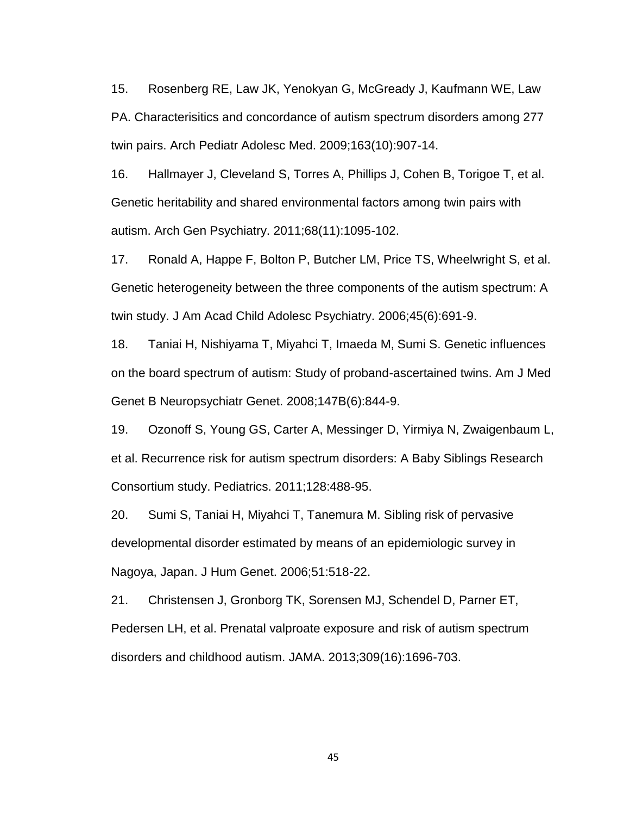15. Rosenberg RE, Law JK, Yenokyan G, McGready J, Kaufmann WE, Law PA. Characterisitics and concordance of autism spectrum disorders among 277 twin pairs. Arch Pediatr Adolesc Med. 2009;163(10):907-14.

16. Hallmayer J, Cleveland S, Torres A, Phillips J, Cohen B, Torigoe T, et al. Genetic heritability and shared environmental factors among twin pairs with autism. Arch Gen Psychiatry. 2011;68(11):1095-102.

17. Ronald A, Happe F, Bolton P, Butcher LM, Price TS, Wheelwright S, et al. Genetic heterogeneity between the three components of the autism spectrum: A twin study. J Am Acad Child Adolesc Psychiatry. 2006;45(6):691-9.

18. Taniai H, Nishiyama T, Miyahci T, Imaeda M, Sumi S. Genetic influences on the board spectrum of autism: Study of proband-ascertained twins. Am J Med Genet B Neuropsychiatr Genet. 2008;147B(6):844-9.

19. Ozonoff S, Young GS, Carter A, Messinger D, Yirmiya N, Zwaigenbaum L, et al. Recurrence risk for autism spectrum disorders: A Baby Siblings Research Consortium study. Pediatrics. 2011;128:488-95.

20. Sumi S, Taniai H, Miyahci T, Tanemura M. Sibling risk of pervasive developmental disorder estimated by means of an epidemiologic survey in Nagoya, Japan. J Hum Genet. 2006;51:518-22.

21. Christensen J, Gronborg TK, Sorensen MJ, Schendel D, Parner ET, Pedersen LH, et al. Prenatal valproate exposure and risk of autism spectrum disorders and childhood autism. JAMA. 2013;309(16):1696-703.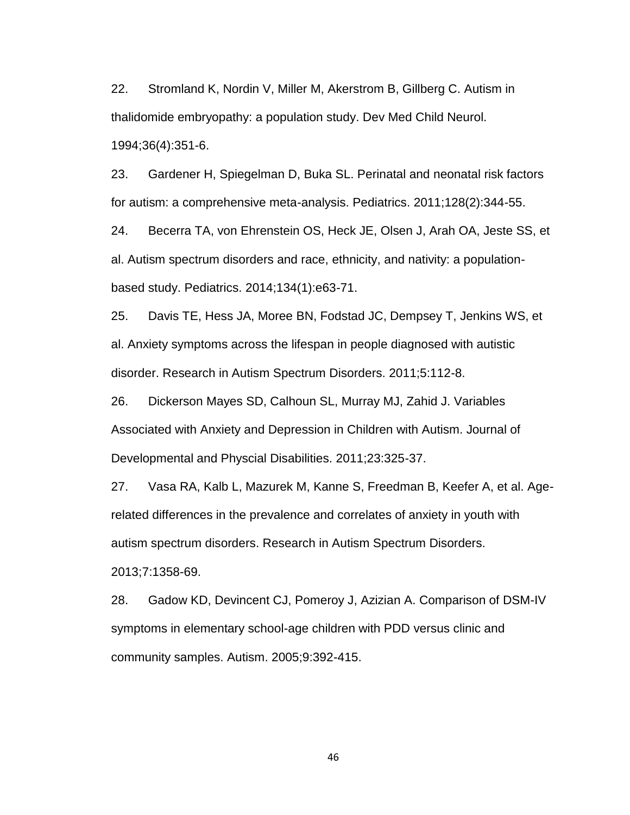22. Stromland K, Nordin V, Miller M, Akerstrom B, Gillberg C. Autism in thalidomide embryopathy: a population study. Dev Med Child Neurol. 1994;36(4):351-6.

23. Gardener H, Spiegelman D, Buka SL. Perinatal and neonatal risk factors for autism: a comprehensive meta-analysis. Pediatrics. 2011;128(2):344-55.

24. Becerra TA, von Ehrenstein OS, Heck JE, Olsen J, Arah OA, Jeste SS, et al. Autism spectrum disorders and race, ethnicity, and nativity: a populationbased study. Pediatrics. 2014;134(1):e63-71.

25. Davis TE, Hess JA, Moree BN, Fodstad JC, Dempsey T, Jenkins WS, et al. Anxiety symptoms across the lifespan in people diagnosed with autistic disorder. Research in Autism Spectrum Disorders. 2011;5:112-8.

26. Dickerson Mayes SD, Calhoun SL, Murray MJ, Zahid J. Variables Associated with Anxiety and Depression in Children with Autism. Journal of Developmental and Physcial Disabilities. 2011;23:325-37.

27. Vasa RA, Kalb L, Mazurek M, Kanne S, Freedman B, Keefer A, et al. Agerelated differences in the prevalence and correlates of anxiety in youth with autism spectrum disorders. Research in Autism Spectrum Disorders. 2013;7:1358-69.

28. Gadow KD, Devincent CJ, Pomeroy J, Azizian A. Comparison of DSM-IV symptoms in elementary school-age children with PDD versus clinic and community samples. Autism. 2005;9:392-415.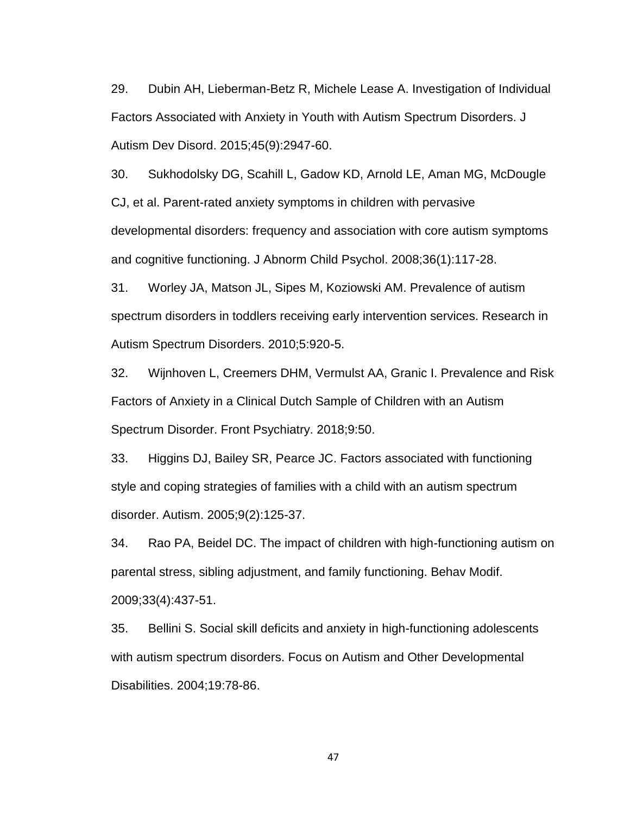29. Dubin AH, Lieberman-Betz R, Michele Lease A. Investigation of Individual Factors Associated with Anxiety in Youth with Autism Spectrum Disorders. J Autism Dev Disord. 2015;45(9):2947-60.

30. Sukhodolsky DG, Scahill L, Gadow KD, Arnold LE, Aman MG, McDougle CJ, et al. Parent-rated anxiety symptoms in children with pervasive developmental disorders: frequency and association with core autism symptoms and cognitive functioning. J Abnorm Child Psychol. 2008;36(1):117-28.

31. Worley JA, Matson JL, Sipes M, Koziowski AM. Prevalence of autism spectrum disorders in toddlers receiving early intervention services. Research in Autism Spectrum Disorders. 2010;5:920-5.

32. Wijnhoven L, Creemers DHM, Vermulst AA, Granic I. Prevalence and Risk Factors of Anxiety in a Clinical Dutch Sample of Children with an Autism Spectrum Disorder. Front Psychiatry. 2018;9:50.

33. Higgins DJ, Bailey SR, Pearce JC. Factors associated with functioning style and coping strategies of families with a child with an autism spectrum disorder. Autism. 2005;9(2):125-37.

34. Rao PA, Beidel DC. The impact of children with high-functioning autism on parental stress, sibling adjustment, and family functioning. Behav Modif. 2009;33(4):437-51.

35. Bellini S. Social skill deficits and anxiety in high-functioning adolescents with autism spectrum disorders. Focus on Autism and Other Developmental Disabilities. 2004;19:78-86.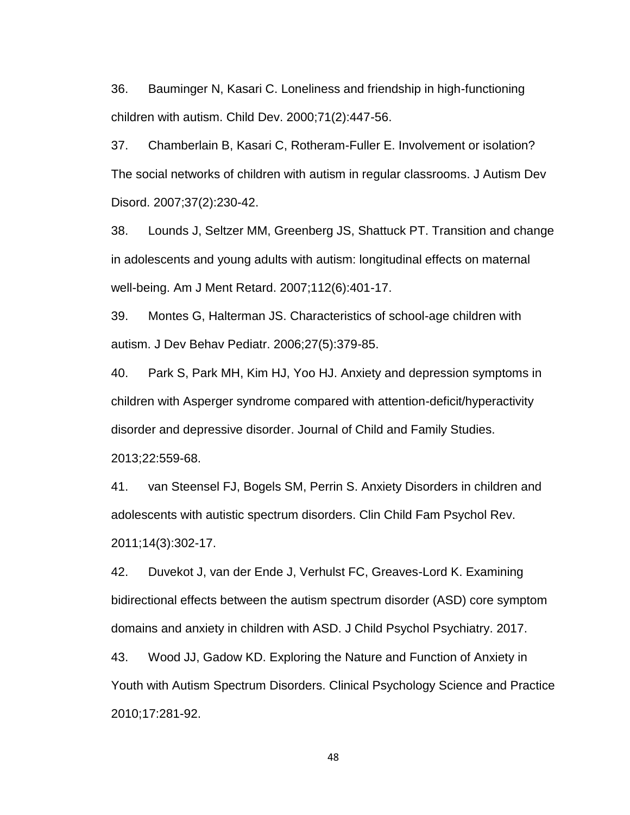36. Bauminger N, Kasari C. Loneliness and friendship in high-functioning children with autism. Child Dev. 2000;71(2):447-56.

37. Chamberlain B, Kasari C, Rotheram-Fuller E. Involvement or isolation? The social networks of children with autism in regular classrooms. J Autism Dev Disord. 2007;37(2):230-42.

38. Lounds J, Seltzer MM, Greenberg JS, Shattuck PT. Transition and change in adolescents and young adults with autism: longitudinal effects on maternal well-being. Am J Ment Retard. 2007;112(6):401-17.

39. Montes G, Halterman JS. Characteristics of school-age children with autism. J Dev Behav Pediatr. 2006;27(5):379-85.

40. Park S, Park MH, Kim HJ, Yoo HJ. Anxiety and depression symptoms in children with Asperger syndrome compared with attention-deficit/hyperactivity disorder and depressive disorder. Journal of Child and Family Studies. 2013;22:559-68.

41. van Steensel FJ, Bogels SM, Perrin S. Anxiety Disorders in children and adolescents with autistic spectrum disorders. Clin Child Fam Psychol Rev. 2011;14(3):302-17.

42. Duvekot J, van der Ende J, Verhulst FC, Greaves-Lord K. Examining bidirectional effects between the autism spectrum disorder (ASD) core symptom domains and anxiety in children with ASD. J Child Psychol Psychiatry. 2017.

43. Wood JJ, Gadow KD. Exploring the Nature and Function of Anxiety in Youth with Autism Spectrum Disorders. Clinical Psychology Science and Practice 2010;17:281-92.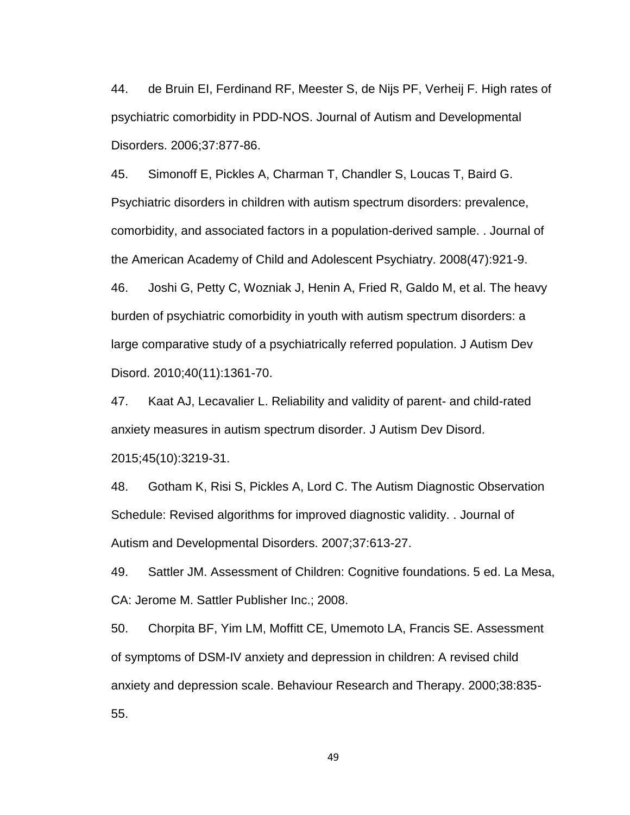44. de Bruin EI, Ferdinand RF, Meester S, de Nijs PF, Verheij F. High rates of psychiatric comorbidity in PDD-NOS. Journal of Autism and Developmental Disorders. 2006;37:877-86.

45. Simonoff E, Pickles A, Charman T, Chandler S, Loucas T, Baird G. Psychiatric disorders in children with autism spectrum disorders: prevalence, comorbidity, and associated factors in a population-derived sample. . Journal of the American Academy of Child and Adolescent Psychiatry. 2008(47):921-9. 46. Joshi G, Petty C, Wozniak J, Henin A, Fried R, Galdo M, et al. The heavy

burden of psychiatric comorbidity in youth with autism spectrum disorders: a large comparative study of a psychiatrically referred population. J Autism Dev Disord. 2010;40(11):1361-70.

47. Kaat AJ, Lecavalier L. Reliability and validity of parent- and child-rated anxiety measures in autism spectrum disorder. J Autism Dev Disord. 2015;45(10):3219-31.

48. Gotham K, Risi S, Pickles A, Lord C. The Autism Diagnostic Observation Schedule: Revised algorithms for improved diagnostic validity. . Journal of Autism and Developmental Disorders. 2007;37:613-27.

49. Sattler JM. Assessment of Children: Cognitive foundations. 5 ed. La Mesa, CA: Jerome M. Sattler Publisher Inc.; 2008.

50. Chorpita BF, Yim LM, Moffitt CE, Umemoto LA, Francis SE. Assessment of symptoms of DSM-IV anxiety and depression in children: A revised child anxiety and depression scale. Behaviour Research and Therapy. 2000;38:835- 55.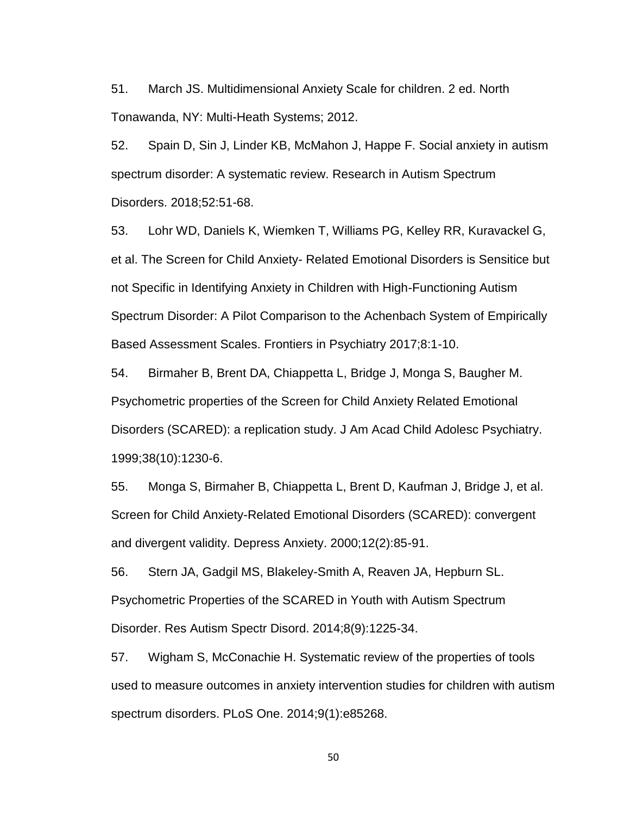51. March JS. Multidimensional Anxiety Scale for children. 2 ed. North Tonawanda, NY: Multi-Heath Systems; 2012.

52. Spain D, Sin J, Linder KB, McMahon J, Happe F. Social anxiety in autism spectrum disorder: A systematic review. Research in Autism Spectrum Disorders. 2018;52:51-68.

53. Lohr WD, Daniels K, Wiemken T, Williams PG, Kelley RR, Kuravackel G, et al. The Screen for Child Anxiety- Related Emotional Disorders is Sensitice but not Specific in Identifying Anxiety in Children with High-Functioning Autism Spectrum Disorder: A Pilot Comparison to the Achenbach System of Empirically Based Assessment Scales. Frontiers in Psychiatry 2017;8:1-10.

54. Birmaher B, Brent DA, Chiappetta L, Bridge J, Monga S, Baugher M. Psychometric properties of the Screen for Child Anxiety Related Emotional Disorders (SCARED): a replication study. J Am Acad Child Adolesc Psychiatry. 1999;38(10):1230-6.

55. Monga S, Birmaher B, Chiappetta L, Brent D, Kaufman J, Bridge J, et al. Screen for Child Anxiety-Related Emotional Disorders (SCARED): convergent and divergent validity. Depress Anxiety. 2000;12(2):85-91.

56. Stern JA, Gadgil MS, Blakeley-Smith A, Reaven JA, Hepburn SL. Psychometric Properties of the SCARED in Youth with Autism Spectrum Disorder. Res Autism Spectr Disord. 2014;8(9):1225-34.

57. Wigham S, McConachie H. Systematic review of the properties of tools used to measure outcomes in anxiety intervention studies for children with autism spectrum disorders. PLoS One. 2014;9(1):e85268.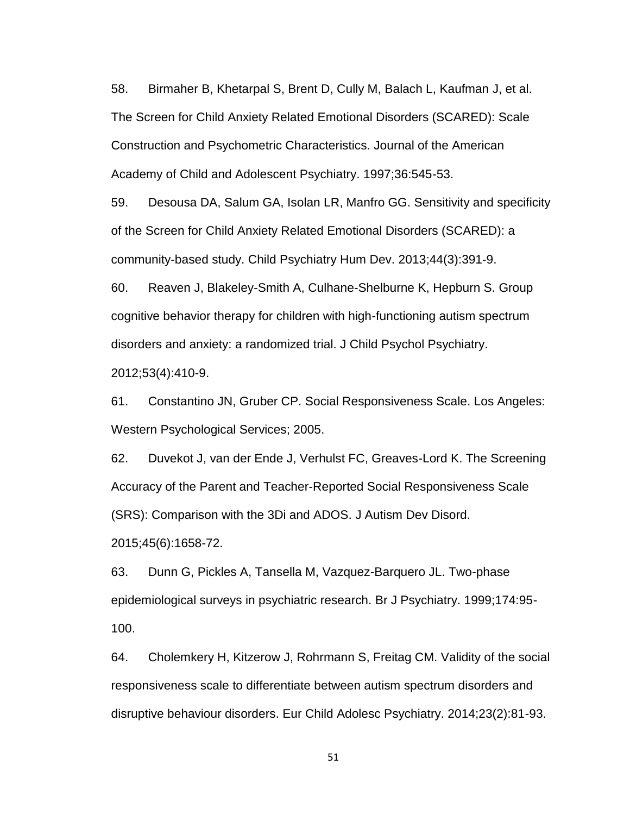58. Birmaher B, Khetarpal S, Brent D, Cully M, Balach L, Kaufman J, et al. The Screen for Child Anxiety Related Emotional Disorders (SCARED): Scale Construction and Psychometric Characteristics. Journal of the American Academy of Child and Adolescent Psychiatry. 1997;36:545-53.

59. Desousa DA, Salum GA, Isolan LR, Manfro GG. Sensitivity and specificity of the Screen for Child Anxiety Related Emotional Disorders (SCARED): a community-based study. Child Psychiatry Hum Dev. 2013;44(3):391-9.

60. Reaven J, Blakeley-Smith A, Culhane-Shelburne K, Hepburn S. Group cognitive behavior therapy for children with high-functioning autism spectrum disorders and anxiety: a randomized trial. J Child Psychol Psychiatry. 2012;53(4):410-9.

61. Constantino JN, Gruber CP. Social Responsiveness Scale. Los Angeles: Western Psychological Services; 2005.

62. Duvekot J, van der Ende J, Verhulst FC, Greaves-Lord K. The Screening Accuracy of the Parent and Teacher-Reported Social Responsiveness Scale (SRS): Comparison with the 3Di and ADOS. J Autism Dev Disord. 2015;45(6):1658-72.

63. Dunn G, Pickles A, Tansella M, Vazquez-Barquero JL. Two-phase epidemiological surveys in psychiatric research. Br J Psychiatry. 1999;174:95-

100.

64. Cholemkery H, Kitzerow J, Rohrmann S, Freitag CM. Validity of the social responsiveness scale to differentiate between autism spectrum disorders and disruptive behaviour disorders. Eur Child Adolesc Psychiatry. 2014;23(2):81-93.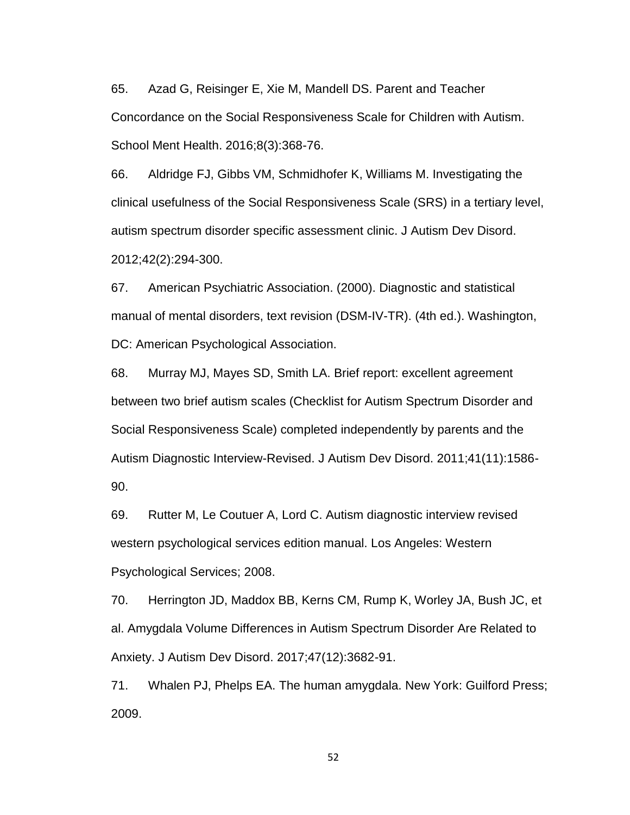65. Azad G, Reisinger E, Xie M, Mandell DS. Parent and Teacher Concordance on the Social Responsiveness Scale for Children with Autism. School Ment Health. 2016;8(3):368-76.

66. Aldridge FJ, Gibbs VM, Schmidhofer K, Williams M. Investigating the clinical usefulness of the Social Responsiveness Scale (SRS) in a tertiary level, autism spectrum disorder specific assessment clinic. J Autism Dev Disord. 2012;42(2):294-300.

67. American Psychiatric Association. (2000). Diagnostic and statistical manual of mental disorders, text revision (DSM-IV-TR). (4th ed.). Washington, DC: American Psychological Association.

68. Murray MJ, Mayes SD, Smith LA. Brief report: excellent agreement between two brief autism scales (Checklist for Autism Spectrum Disorder and Social Responsiveness Scale) completed independently by parents and the Autism Diagnostic Interview-Revised. J Autism Dev Disord. 2011;41(11):1586- 90.

69. Rutter M, Le Coutuer A, Lord C. Autism diagnostic interview revised western psychological services edition manual. Los Angeles: Western Psychological Services; 2008.

70. Herrington JD, Maddox BB, Kerns CM, Rump K, Worley JA, Bush JC, et al. Amygdala Volume Differences in Autism Spectrum Disorder Are Related to Anxiety. J Autism Dev Disord. 2017;47(12):3682-91.

71. Whalen PJ, Phelps EA. The human amygdala. New York: Guilford Press; 2009.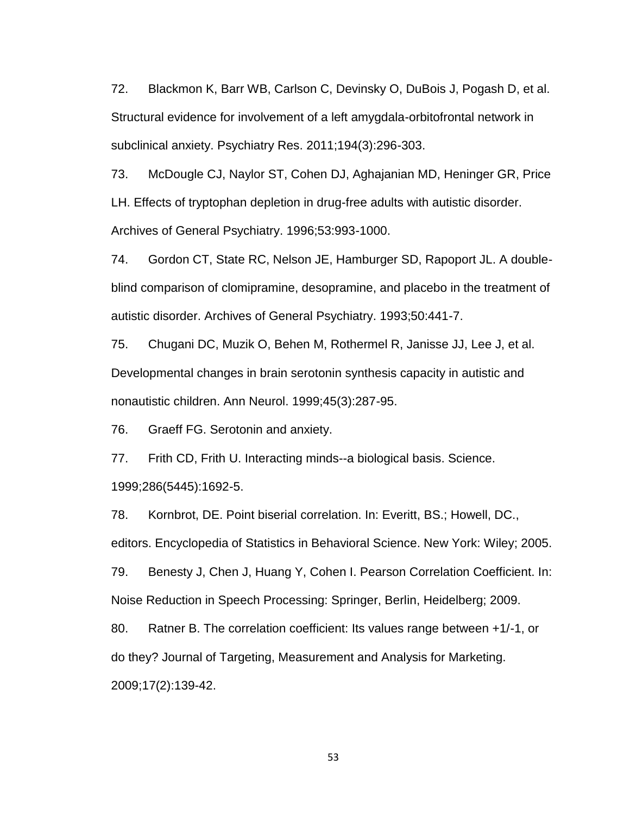72. Blackmon K, Barr WB, Carlson C, Devinsky O, DuBois J, Pogash D, et al. Structural evidence for involvement of a left amygdala-orbitofrontal network in subclinical anxiety. Psychiatry Res. 2011;194(3):296-303.

73. McDougle CJ, Naylor ST, Cohen DJ, Aghajanian MD, Heninger GR, Price LH. Effects of tryptophan depletion in drug-free adults with autistic disorder. Archives of General Psychiatry. 1996;53:993-1000.

74. Gordon CT, State RC, Nelson JE, Hamburger SD, Rapoport JL. A doubleblind comparison of clomipramine, desopramine, and placebo in the treatment of autistic disorder. Archives of General Psychiatry. 1993;50:441-7.

75. Chugani DC, Muzik O, Behen M, Rothermel R, Janisse JJ, Lee J, et al. Developmental changes in brain serotonin synthesis capacity in autistic and nonautistic children. Ann Neurol. 1999;45(3):287-95.

76. Graeff FG. Serotonin and anxiety.

77. Frith CD, Frith U. Interacting minds--a biological basis. Science. 1999;286(5445):1692-5.

78. Kornbrot, DE. Point biserial correlation. In: Everitt, BS.; Howell, DC.,

editors. Encyclopedia of Statistics in Behavioral Science. New York: Wiley; 2005.

79. Benesty J, Chen J, Huang Y, Cohen I. Pearson Correlation Coefficient. In: Noise Reduction in Speech Processing: Springer, Berlin, Heidelberg; 2009.

80. Ratner B. The correlation coefficient: Its values range between +1/-1, or do they? Journal of Targeting, Measurement and Analysis for Marketing. 2009;17(2):139-42.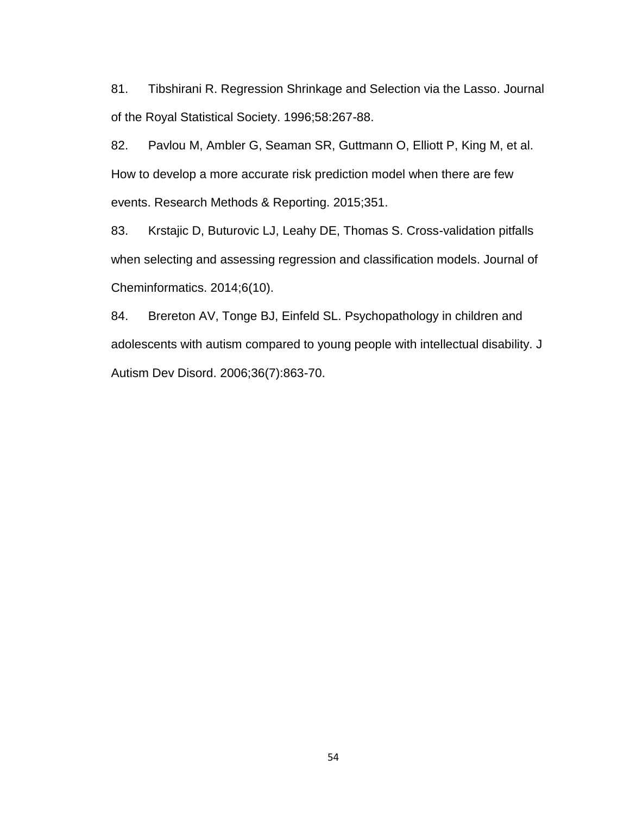81. Tibshirani R. Regression Shrinkage and Selection via the Lasso. Journal of the Royal Statistical Society. 1996;58:267-88.

82. Pavlou M, Ambler G, Seaman SR, Guttmann O, Elliott P, King M, et al. How to develop a more accurate risk prediction model when there are few events. Research Methods & Reporting. 2015;351.

83. Krstajic D, Buturovic LJ, Leahy DE, Thomas S. Cross-validation pitfalls when selecting and assessing regression and classification models. Journal of Cheminformatics. 2014;6(10).

84. Brereton AV, Tonge BJ, Einfeld SL. Psychopathology in children and adolescents with autism compared to young people with intellectual disability. J Autism Dev Disord. 2006;36(7):863-70.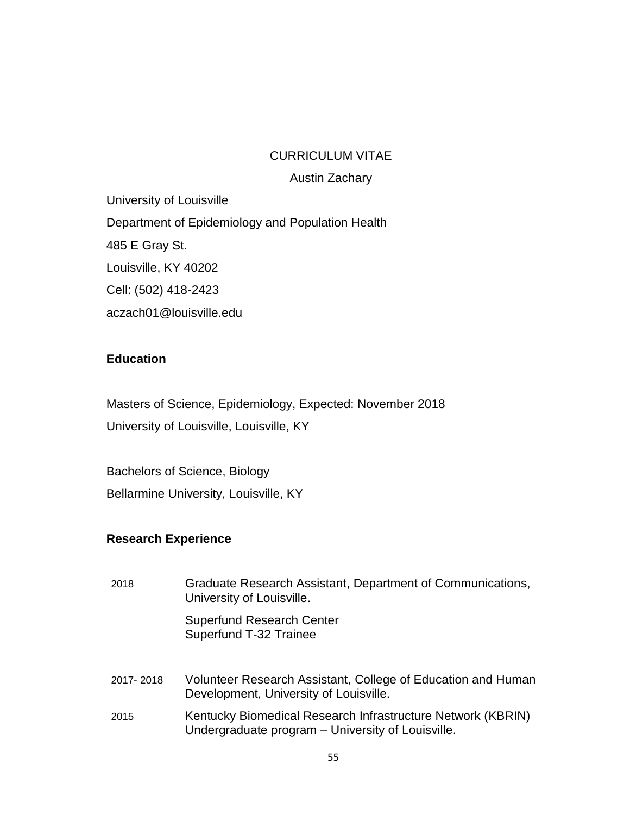## CURRICULUM VITAE

Austin Zachary

University of Louisville Department of Epidemiology and Population Health 485 E Gray St. Louisville, KY 40202 Cell: (502) 418-2423 aczach01@louisville.edu

## **Education**

Masters of Science, Epidemiology, Expected: November 2018 University of Louisville, Louisville, KY

Bachelors of Science, Biology Bellarmine University, Louisville, KY

## **Research Experience**

| 2018      | Graduate Research Assistant, Department of Communications,<br>University of Louisville.                          |
|-----------|------------------------------------------------------------------------------------------------------------------|
|           | <b>Superfund Research Center</b><br>Superfund T-32 Trainee                                                       |
| 2017-2018 | Volunteer Research Assistant, College of Education and Human<br>Development, University of Louisville.           |
| 2015      | Kentucky Biomedical Research Infrastructure Network (KBRIN)<br>Undergraduate program - University of Louisville. |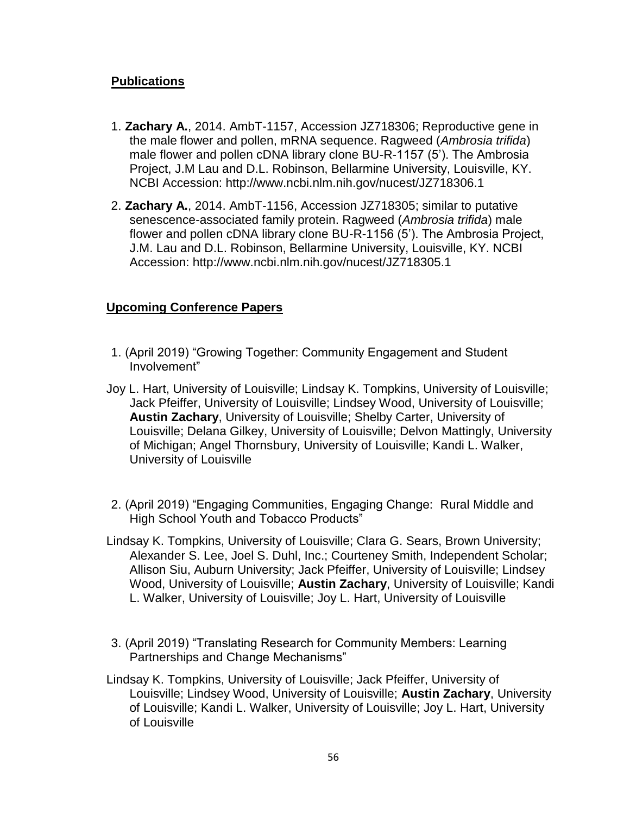## **Publications**

- 1. **Zachary A.**, 2014. AmbT-1157, Accession JZ718306; Reproductive gene in the male flower and pollen, mRNA sequence. Ragweed (*Ambrosia trifida*) male flower and pollen cDNA library clone BU-R-1157 (5'). The Ambrosia Project, J.M Lau and D.L. Robinson, Bellarmine University, Louisville, KY. NCBI Accession: http://www.ncbi.nlm.nih.gov/nucest/JZ718306.1
- 2. **Zachary A.**, 2014. AmbT-1156, Accession JZ718305; similar to putative senescence-associated family protein. Ragweed (*Ambrosia trifida*) male flower and pollen cDNA library clone BU-R-1156 (5'). The Ambrosia Project, J.M. Lau and D.L. Robinson, Bellarmine University, Louisville, KY. NCBI Accession: http://www.ncbi.nlm.nih.gov/nucest/JZ718305.1

## **Upcoming Conference Papers**

- 1. (April 2019) "Growing Together: Community Engagement and Student Involvement"
- Joy L. Hart, University of Louisville; Lindsay K. Tompkins, University of Louisville; Jack Pfeiffer, University of Louisville; Lindsey Wood, University of Louisville; **Austin Zachary**, University of Louisville; Shelby Carter, University of Louisville; Delana Gilkey, University of Louisville; Delvon Mattingly, University of Michigan; Angel Thornsbury, University of Louisville; Kandi L. Walker, University of Louisville
- 2. (April 2019) "Engaging Communities, Engaging Change: Rural Middle and High School Youth and Tobacco Products"
- Lindsay K. Tompkins, University of Louisville; Clara G. Sears, Brown University; Alexander S. Lee, Joel S. Duhl, Inc.; Courteney Smith, Independent Scholar; Allison Siu, Auburn University; Jack Pfeiffer, University of Louisville; Lindsey Wood, University of Louisville; **Austin Zachary**, University of Louisville; Kandi L. Walker, University of Louisville; Joy L. Hart, University of Louisville
- 3. (April 2019) "Translating Research for Community Members: Learning Partnerships and Change Mechanisms"
- Lindsay K. Tompkins, University of Louisville; Jack Pfeiffer, University of Louisville; Lindsey Wood, University of Louisville; **Austin Zachary**, University of Louisville; Kandi L. Walker, University of Louisville; Joy L. Hart, University of Louisville